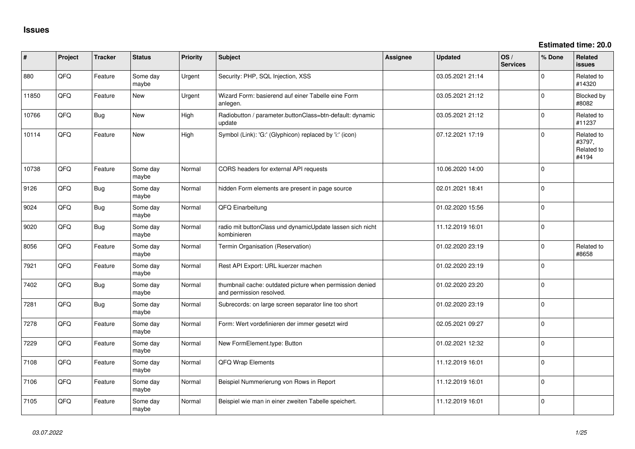**Estimated time: 20.0**

| #     | Project | <b>Tracker</b> | <b>Status</b>     | <b>Priority</b> | <b>Subject</b>                                                                       | Assignee | <b>Updated</b>   | OS/<br><b>Services</b> | % Done         | Related<br>issues                           |
|-------|---------|----------------|-------------------|-----------------|--------------------------------------------------------------------------------------|----------|------------------|------------------------|----------------|---------------------------------------------|
| 880   | QFQ     | Feature        | Some day<br>maybe | Urgent          | Security: PHP, SQL Injection, XSS                                                    |          | 03.05.2021 21:14 |                        | $\Omega$       | Related to<br>#14320                        |
| 11850 | QFQ     | Feature        | <b>New</b>        | Urgent          | Wizard Form: basierend auf einer Tabelle eine Form<br>anlegen.                       |          | 03.05.2021 21:12 |                        | $\Omega$       | Blocked by<br>#8082                         |
| 10766 | QFQ     | Bug            | New               | High            | Radiobutton / parameter.buttonClass=btn-default: dynamic<br>update                   |          | 03.05.2021 21:12 |                        | $\Omega$       | Related to<br>#11237                        |
| 10114 | QFQ     | Feature        | <b>New</b>        | High            | Symbol (Link): 'G:' (Glyphicon) replaced by 'i:' (icon)                              |          | 07.12.2021 17:19 |                        | $\Omega$       | Related to<br>#3797,<br>Related to<br>#4194 |
| 10738 | QFQ     | Feature        | Some day<br>maybe | Normal          | CORS headers for external API requests                                               |          | 10.06.2020 14:00 |                        | 0              |                                             |
| 9126  | QFQ     | Bug            | Some day<br>maybe | Normal          | hidden Form elements are present in page source                                      |          | 02.01.2021 18:41 |                        | $\Omega$       |                                             |
| 9024  | QFQ     | <b>Bug</b>     | Some day<br>maybe | Normal          | QFQ Einarbeitung                                                                     |          | 01.02.2020 15:56 |                        | 0              |                                             |
| 9020  | QFQ     | Bug            | Some day<br>maybe | Normal          | radio mit buttonClass und dynamicUpdate lassen sich nicht<br>kombinieren             |          | 11.12.2019 16:01 |                        | $\Omega$       |                                             |
| 8056  | QFQ     | Feature        | Some day<br>maybe | Normal          | Termin Organisation (Reservation)                                                    |          | 01.02.2020 23:19 |                        | $\Omega$       | Related to<br>#8658                         |
| 7921  | QFQ     | Feature        | Some day<br>maybe | Normal          | Rest API Export: URL kuerzer machen                                                  |          | 01.02.2020 23:19 |                        | $\Omega$       |                                             |
| 7402  | QFQ     | Bug            | Some day<br>maybe | Normal          | thumbnail cache: outdated picture when permission denied<br>and permission resolved. |          | 01.02.2020 23:20 |                        | 0              |                                             |
| 7281  | QFQ     | Bug            | Some day<br>maybe | Normal          | Subrecords: on large screen separator line too short                                 |          | 01.02.2020 23:19 |                        | $\overline{0}$ |                                             |
| 7278  | QFQ     | Feature        | Some day<br>maybe | Normal          | Form: Wert vordefinieren der immer gesetzt wird                                      |          | 02.05.2021 09:27 |                        | 0              |                                             |
| 7229  | QFQ     | Feature        | Some day<br>maybe | Normal          | New FormElement.type: Button                                                         |          | 01.02.2021 12:32 |                        | $\overline{0}$ |                                             |
| 7108  | QFQ     | Feature        | Some day<br>maybe | Normal          | QFQ Wrap Elements                                                                    |          | 11.12.2019 16:01 |                        | $\overline{0}$ |                                             |
| 7106  | QFQ     | Feature        | Some day<br>maybe | Normal          | Beispiel Nummerierung von Rows in Report                                             |          | 11.12.2019 16:01 |                        | $\overline{0}$ |                                             |
| 7105  | QFQ     | Feature        | Some day<br>maybe | Normal          | Beispiel wie man in einer zweiten Tabelle speichert.                                 |          | 11.12.2019 16:01 |                        | $\overline{0}$ |                                             |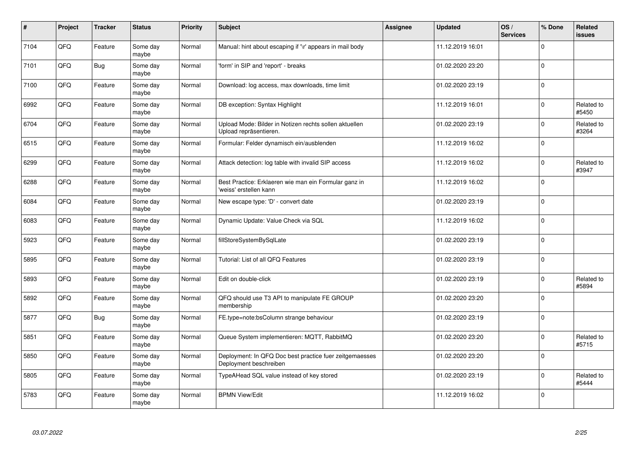| $\pmb{\#}$ | Project | <b>Tracker</b> | <b>Status</b>     | <b>Priority</b> | <b>Subject</b>                                                                    | Assignee | <b>Updated</b>   | OS/<br><b>Services</b> | % Done         | Related<br><b>issues</b> |
|------------|---------|----------------|-------------------|-----------------|-----------------------------------------------------------------------------------|----------|------------------|------------------------|----------------|--------------------------|
| 7104       | QFQ     | Feature        | Some day<br>maybe | Normal          | Manual: hint about escaping if '\r' appears in mail body                          |          | 11.12.2019 16:01 |                        | $\mathbf 0$    |                          |
| 7101       | QFQ     | <b>Bug</b>     | Some day<br>maybe | Normal          | 'form' in SIP and 'report' - breaks                                               |          | 01.02.2020 23:20 |                        | $\mathbf 0$    |                          |
| 7100       | QFG     | Feature        | Some day<br>maybe | Normal          | Download: log access, max downloads, time limit                                   |          | 01.02.2020 23:19 |                        | $\mathbf 0$    |                          |
| 6992       | QFQ     | Feature        | Some day<br>maybe | Normal          | DB exception: Syntax Highlight                                                    |          | 11.12.2019 16:01 |                        | $\Omega$       | Related to<br>#5450      |
| 6704       | QFQ     | Feature        | Some day<br>maybe | Normal          | Upload Mode: Bilder in Notizen rechts sollen aktuellen<br>Upload repräsentieren.  |          | 01.02.2020 23:19 |                        | $\Omega$       | Related to<br>#3264      |
| 6515       | QFQ     | Feature        | Some day<br>maybe | Normal          | Formular: Felder dynamisch ein/ausblenden                                         |          | 11.12.2019 16:02 |                        | 0              |                          |
| 6299       | QFQ     | Feature        | Some day<br>maybe | Normal          | Attack detection: log table with invalid SIP access                               |          | 11.12.2019 16:02 |                        | $\mathbf 0$    | Related to<br>#3947      |
| 6288       | QFQ     | Feature        | Some day<br>maybe | Normal          | Best Practice: Erklaeren wie man ein Formular ganz in<br>'weiss' erstellen kann   |          | 11.12.2019 16:02 |                        | $\overline{0}$ |                          |
| 6084       | QFQ     | Feature        | Some day<br>maybe | Normal          | New escape type: 'D' - convert date                                               |          | 01.02.2020 23:19 |                        | $\mathbf 0$    |                          |
| 6083       | QFQ     | Feature        | Some day<br>maybe | Normal          | Dynamic Update: Value Check via SQL                                               |          | 11.12.2019 16:02 |                        | l 0            |                          |
| 5923       | QFQ     | Feature        | Some dav<br>maybe | Normal          | fillStoreSystemBySqlLate                                                          |          | 01.02.2020 23:19 |                        | $\mathbf 0$    |                          |
| 5895       | QFQ     | Feature        | Some day<br>maybe | Normal          | Tutorial: List of all QFQ Features                                                |          | 01.02.2020 23:19 |                        | 0              |                          |
| 5893       | QFQ     | Feature        | Some day<br>maybe | Normal          | Edit on double-click                                                              |          | 01.02.2020 23:19 |                        | $\mathbf 0$    | Related to<br>#5894      |
| 5892       | QFQ     | Feature        | Some day<br>maybe | Normal          | QFQ should use T3 API to manipulate FE GROUP<br>membership                        |          | 01.02.2020 23:20 |                        | 0              |                          |
| 5877       | QFQ     | <b>Bug</b>     | Some day<br>maybe | Normal          | FE.type=note:bsColumn strange behaviour                                           |          | 01.02.2020 23:19 |                        | $\mathbf 0$    |                          |
| 5851       | QFQ     | Feature        | Some day<br>maybe | Normal          | Queue System implementieren: MQTT, RabbitMQ                                       |          | 01.02.2020 23:20 |                        | $\Omega$       | Related to<br>#5715      |
| 5850       | QFQ     | Feature        | Some day<br>maybe | Normal          | Deployment: In QFQ Doc best practice fuer zeitgemaesses<br>Deployment beschreiben |          | 01.02.2020 23:20 |                        | $\mathbf 0$    |                          |
| 5805       | QFQ     | Feature        | Some day<br>maybe | Normal          | TypeAHead SQL value instead of key stored                                         |          | 01.02.2020 23:19 |                        | $\mathbf 0$    | Related to<br>#5444      |
| 5783       | QFQ     | Feature        | Some day<br>maybe | Normal          | <b>BPMN View/Edit</b>                                                             |          | 11.12.2019 16:02 |                        | $\Omega$       |                          |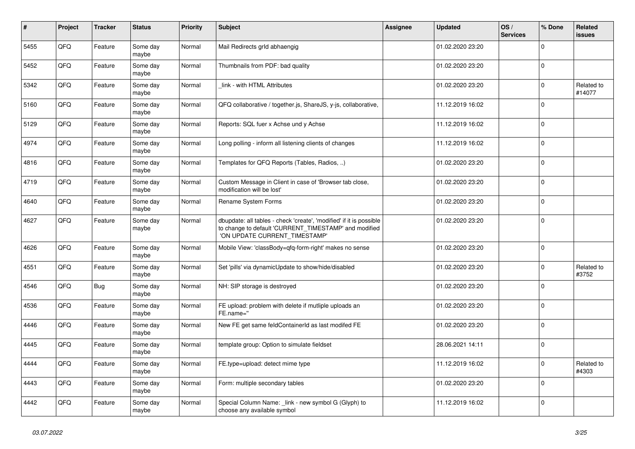| $\pmb{\sharp}$ | Project | <b>Tracker</b> | <b>Status</b>     | <b>Priority</b> | <b>Subject</b>                                                                                                                                                | Assignee | <b>Updated</b>   | OS/<br><b>Services</b> | % Done      | Related<br>issues    |
|----------------|---------|----------------|-------------------|-----------------|---------------------------------------------------------------------------------------------------------------------------------------------------------------|----------|------------------|------------------------|-------------|----------------------|
| 5455           | QFQ     | Feature        | Some day<br>maybe | Normal          | Mail Redirects grld abhaengig                                                                                                                                 |          | 01.02.2020 23:20 |                        | $\Omega$    |                      |
| 5452           | QFQ     | Feature        | Some day<br>maybe | Normal          | Thumbnails from PDF: bad quality                                                                                                                              |          | 01.02.2020 23:20 |                        | $\Omega$    |                      |
| 5342           | QFQ     | Feature        | Some day<br>maybe | Normal          | link - with HTML Attributes                                                                                                                                   |          | 01.02.2020 23:20 |                        | $\Omega$    | Related to<br>#14077 |
| 5160           | QFQ     | Feature        | Some day<br>maybe | Normal          | QFQ collaborative / together.js, ShareJS, y-js, collaborative,                                                                                                |          | 11.12.2019 16:02 |                        | $\Omega$    |                      |
| 5129           | QFQ     | Feature        | Some day<br>maybe | Normal          | Reports: SQL fuer x Achse und y Achse                                                                                                                         |          | 11.12.2019 16:02 |                        | $\mathbf 0$ |                      |
| 4974           | QFQ     | Feature        | Some day<br>maybe | Normal          | Long polling - inform all listening clients of changes                                                                                                        |          | 11.12.2019 16:02 |                        | $\Omega$    |                      |
| 4816           | QFQ     | Feature        | Some day<br>maybe | Normal          | Templates for QFQ Reports (Tables, Radios, )                                                                                                                  |          | 01.02.2020 23:20 |                        | $\Omega$    |                      |
| 4719           | QFQ     | Feature        | Some day<br>maybe | Normal          | Custom Message in Client in case of 'Browser tab close,<br>modification will be lost'                                                                         |          | 01.02.2020 23:20 |                        | 0           |                      |
| 4640           | QFQ     | Feature        | Some day<br>maybe | Normal          | Rename System Forms                                                                                                                                           |          | 01.02.2020 23:20 |                        | $\Omega$    |                      |
| 4627           | QFQ     | Feature        | Some day<br>maybe | Normal          | dbupdate: all tables - check 'create', 'modified' if it is possible<br>to change to default 'CURRENT_TIMESTAMP' and modified<br>'ON UPDATE CURRENT TIMESTAMP' |          | 01.02.2020 23:20 |                        | $\Omega$    |                      |
| 4626           | QFQ     | Feature        | Some day<br>maybe | Normal          | Mobile View: 'classBody=qfq-form-right' makes no sense                                                                                                        |          | 01.02.2020 23:20 |                        | $\Omega$    |                      |
| 4551           | QFQ     | Feature        | Some day<br>maybe | Normal          | Set 'pills' via dynamicUpdate to show/hide/disabled                                                                                                           |          | 01.02.2020 23:20 |                        | $\Omega$    | Related to<br>#3752  |
| 4546           | QFQ     | <b>Bug</b>     | Some day<br>maybe | Normal          | NH: SIP storage is destroyed                                                                                                                                  |          | 01.02.2020 23:20 |                        | $\Omega$    |                      |
| 4536           | QFQ     | Feature        | Some day<br>maybe | Normal          | FE upload: problem with delete if mutliple uploads an<br>FE.name="                                                                                            |          | 01.02.2020 23:20 |                        | $\Omega$    |                      |
| 4446           | QFQ     | Feature        | Some day<br>maybe | Normal          | New FE get same feldContainerId as last modifed FE                                                                                                            |          | 01.02.2020 23:20 |                        | $\Omega$    |                      |
| 4445           | QFQ     | Feature        | Some day<br>maybe | Normal          | template group: Option to simulate fieldset                                                                                                                   |          | 28.06.2021 14:11 |                        | $\mathbf 0$ |                      |
| 4444           | QFQ     | Feature        | Some day<br>maybe | Normal          | FE.type=upload: detect mime type                                                                                                                              |          | 11.12.2019 16:02 |                        | $\Omega$    | Related to<br>#4303  |
| 4443           | QFQ     | Feature        | Some day<br>maybe | Normal          | Form: multiple secondary tables                                                                                                                               |          | 01.02.2020 23:20 |                        | $\Omega$    |                      |
| 4442           | QFQ     | Feature        | Some day<br>maybe | Normal          | Special Column Name: link - new symbol G (Glyph) to<br>choose any available symbol                                                                            |          | 11.12.2019 16:02 |                        | $\Omega$    |                      |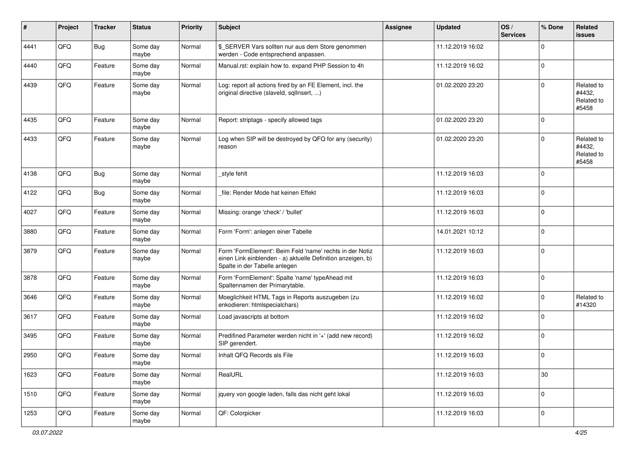| #    | Project | <b>Tracker</b> | <b>Status</b>     | <b>Priority</b> | <b>Subject</b>                                                                                                                                           | <b>Assignee</b> | <b>Updated</b>   | OS/<br><b>Services</b> | % Done      | Related<br><b>issues</b>                    |
|------|---------|----------------|-------------------|-----------------|----------------------------------------------------------------------------------------------------------------------------------------------------------|-----------------|------------------|------------------------|-------------|---------------------------------------------|
| 4441 | QFQ     | Bug            | Some day<br>maybe | Normal          | \$_SERVER Vars sollten nur aus dem Store genommen<br>werden - Code entsprechend anpassen.                                                                |                 | 11.12.2019 16:02 |                        | $\Omega$    |                                             |
| 4440 | QFQ     | Feature        | Some day<br>maybe | Normal          | Manual.rst: explain how to. expand PHP Session to 4h                                                                                                     |                 | 11.12.2019 16:02 |                        | 0           |                                             |
| 4439 | QFQ     | Feature        | Some day<br>maybe | Normal          | Log: report all actions fired by an FE Element, incl. the<br>original directive (slaveld, sqlInsert, )                                                   |                 | 01.02.2020 23:20 |                        | $\Omega$    | Related to<br>#4432,<br>Related to<br>#5458 |
| 4435 | QFQ     | Feature        | Some day<br>maybe | Normal          | Report: striptags - specify allowed tags                                                                                                                 |                 | 01.02.2020 23:20 |                        | 0           |                                             |
| 4433 | QFQ     | Feature        | Some day<br>maybe | Normal          | Log when SIP will be destroyed by QFQ for any (security)<br>reason                                                                                       |                 | 01.02.2020 23:20 |                        | $\Omega$    | Related to<br>#4432,<br>Related to<br>#5458 |
| 4138 | QFQ     | Bug            | Some day<br>maybe | Normal          | style fehlt                                                                                                                                              |                 | 11.12.2019 16:03 |                        | $\mathbf 0$ |                                             |
| 4122 | QFQ     | <b>Bug</b>     | Some day<br>maybe | Normal          | file: Render Mode hat keinen Effekt                                                                                                                      |                 | 11.12.2019 16:03 |                        | 0           |                                             |
| 4027 | QFQ     | Feature        | Some day<br>maybe | Normal          | Missing: orange 'check' / 'bullet'                                                                                                                       |                 | 11.12.2019 16:03 |                        | 0           |                                             |
| 3880 | QFQ     | Feature        | Some day<br>maybe | Normal          | Form 'Form': anlegen einer Tabelle                                                                                                                       |                 | 14.01.2021 10:12 |                        | $\Omega$    |                                             |
| 3879 | QFQ     | Feature        | Some day<br>maybe | Normal          | Form 'FormElement': Beim Feld 'name' rechts in der Notiz<br>einen Link einblenden - a) aktuelle Definition anzeigen, b)<br>Spalte in der Tabelle anlegen |                 | 11.12.2019 16:03 |                        | $\mathbf 0$ |                                             |
| 3878 | QFQ     | Feature        | Some day<br>maybe | Normal          | Form 'FormElement': Spalte 'name' typeAhead mit<br>Spaltennamen der Primarytable.                                                                        |                 | 11.12.2019 16:03 |                        | $\mathbf 0$ |                                             |
| 3646 | QFQ     | Feature        | Some day<br>maybe | Normal          | Moeglichkeit HTML Tags in Reports auszugeben (zu<br>enkodieren: htmlspecialchars)                                                                        |                 | 11.12.2019 16:02 |                        | $\Omega$    | Related to<br>#14320                        |
| 3617 | QFQ     | Feature        | Some day<br>maybe | Normal          | Load javascripts at bottom                                                                                                                               |                 | 11.12.2019 16:02 |                        | $\Omega$    |                                             |
| 3495 | QFQ     | Feature        | Some day<br>maybe | Normal          | Predifined Parameter werden nicht in '+' (add new record)<br>SIP gerendert.                                                                              |                 | 11.12.2019 16:02 |                        | $\mathbf 0$ |                                             |
| 2950 | QFQ     | Feature        | Some day<br>maybe | Normal          | Inhalt QFQ Records als File                                                                                                                              |                 | 11.12.2019 16:03 |                        | 0           |                                             |
| 1623 | QFQ     | Feature        | Some day<br>maybe | Normal          | RealURL                                                                                                                                                  |                 | 11.12.2019 16:03 |                        | 30          |                                             |
| 1510 | QFQ     | Feature        | Some day<br>maybe | Normal          | jquery von google laden, falls das nicht geht lokal                                                                                                      |                 | 11.12.2019 16:03 |                        | 0           |                                             |
| 1253 | QFQ     | Feature        | Some day<br>maybe | Normal          | QF: Colorpicker                                                                                                                                          |                 | 11.12.2019 16:03 |                        | 0           |                                             |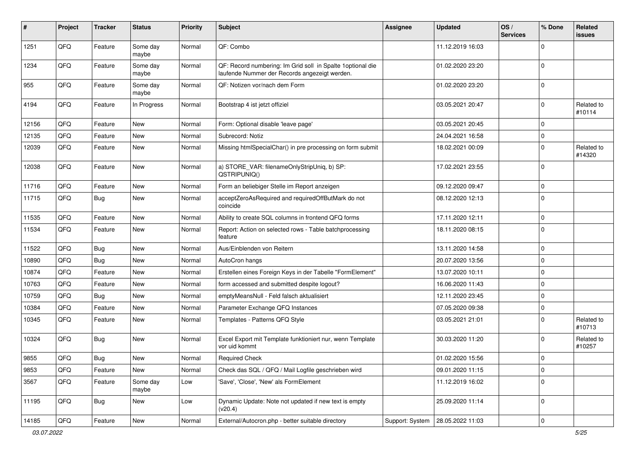| #     | Project | <b>Tracker</b> | <b>Status</b>     | <b>Priority</b> | <b>Subject</b>                                                                                               | Assignee | <b>Updated</b>                     | OS/<br><b>Services</b> | % Done      | Related<br><b>issues</b> |
|-------|---------|----------------|-------------------|-----------------|--------------------------------------------------------------------------------------------------------------|----------|------------------------------------|------------------------|-------------|--------------------------|
| 1251  | QFQ     | Feature        | Some day<br>maybe | Normal          | QF: Combo                                                                                                    |          | 11.12.2019 16:03                   |                        | $\Omega$    |                          |
| 1234  | QFQ     | Feature        | Some day<br>maybe | Normal          | QF: Record numbering: Im Grid soll in Spalte 1 optional die<br>laufende Nummer der Records angezeigt werden. |          | 01.02.2020 23:20                   |                        | $\mathbf 0$ |                          |
| 955   | QFQ     | Feature        | Some day<br>maybe | Normal          | QF: Notizen vor/nach dem Form                                                                                |          | 01.02.2020 23:20                   |                        | $\Omega$    |                          |
| 4194  | QFQ     | Feature        | In Progress       | Normal          | Bootstrap 4 ist jetzt offiziel                                                                               |          | 03.05.2021 20:47                   |                        | $\mathbf 0$ | Related to<br>#10114     |
| 12156 | QFQ     | Feature        | <b>New</b>        | Normal          | Form: Optional disable 'leave page'                                                                          |          | 03.05.2021 20:45                   |                        | 0           |                          |
| 12135 | QFQ     | Feature        | New               | Normal          | Subrecord: Notiz                                                                                             |          | 24.04.2021 16:58                   |                        | 0           |                          |
| 12039 | QFQ     | Feature        | New               | Normal          | Missing htmlSpecialChar() in pre processing on form submit                                                   |          | 18.02.2021 00:09                   |                        | $\mathbf 0$ | Related to<br>#14320     |
| 12038 | QFQ     | Feature        | <b>New</b>        | Normal          | a) STORE_VAR: filenameOnlyStripUniq, b) SP:<br>QSTRIPUNIQ()                                                  |          | 17.02.2021 23:55                   |                        | $\mathbf 0$ |                          |
| 11716 | QFQ     | Feature        | <b>New</b>        | Normal          | Form an beliebiger Stelle im Report anzeigen                                                                 |          | 09.12.2020 09:47                   |                        | $\mathbf 0$ |                          |
| 11715 | QFQ     | Bug            | <b>New</b>        | Normal          | acceptZeroAsRequired and requiredOffButMark do not<br>coincide                                               |          | 08.12.2020 12:13                   |                        | $\mathbf 0$ |                          |
| 11535 | QFQ     | Feature        | New               | Normal          | Ability to create SQL columns in frontend QFQ forms                                                          |          | 17.11.2020 12:11                   |                        | $\mathbf 0$ |                          |
| 11534 | QFQ     | Feature        | <b>New</b>        | Normal          | Report: Action on selected rows - Table batchprocessing<br>feature                                           |          | 18.11.2020 08:15                   |                        | $\mathbf 0$ |                          |
| 11522 | QFQ     | Bug            | New               | Normal          | Aus/Einblenden von Reitern                                                                                   |          | 13.11.2020 14:58                   |                        | $\mathbf 0$ |                          |
| 10890 | QFQ     | Bug            | <b>New</b>        | Normal          | AutoCron hangs                                                                                               |          | 20.07.2020 13:56                   |                        | $\mathbf 0$ |                          |
| 10874 | QFQ     | Feature        | New               | Normal          | Erstellen eines Foreign Keys in der Tabelle "FormElement"                                                    |          | 13.07.2020 10:11                   |                        | $\mathbf 0$ |                          |
| 10763 | QFQ     | Feature        | <b>New</b>        | Normal          | form accessed and submitted despite logout?                                                                  |          | 16.06.2020 11:43                   |                        | $\Omega$    |                          |
| 10759 | QFQ     | Bug            | New               | Normal          | emptyMeansNull - Feld falsch aktualisiert                                                                    |          | 12.11.2020 23:45                   |                        | $\mathbf 0$ |                          |
| 10384 | QFQ     | Feature        | New               | Normal          | Parameter Exchange QFQ Instances                                                                             |          | 07.05.2020 09:38                   |                        | 0           |                          |
| 10345 | QFQ     | Feature        | <b>New</b>        | Normal          | Templates - Patterns QFQ Style                                                                               |          | 03.05.2021 21:01                   |                        | $\mathbf 0$ | Related to<br>#10713     |
| 10324 | QFQ     | Bug            | New               | Normal          | Excel Export mit Template funktioniert nur, wenn Template<br>vor uid kommt                                   |          | 30.03.2020 11:20                   |                        | $\Omega$    | Related to<br>#10257     |
| 9855  | QFG     | Bug            | New               | Normal          | <b>Required Check</b>                                                                                        |          | 01.02.2020 15:56                   |                        | $\mathbf 0$ |                          |
| 9853  | QFQ     | Feature        | New               | Normal          | Check das SQL / QFQ / Mail Logfile geschrieben wird                                                          |          | 09.01.2020 11:15                   |                        | 0           |                          |
| 3567  | QFQ     | Feature        | Some day<br>maybe | Low             | 'Save', 'Close', 'New' als FormElement                                                                       |          | 11.12.2019 16:02                   |                        | 0           |                          |
| 11195 | QFQ     | Bug            | New               | Low             | Dynamic Update: Note not updated if new text is empty<br>(v20.4)                                             |          | 25.09.2020 11:14                   |                        | $\mathbf 0$ |                          |
| 14185 | QFG     | Feature        | New               | Normal          | External/Autocron.php - better suitable directory                                                            |          | Support: System   28.05.2022 11:03 |                        | 0           |                          |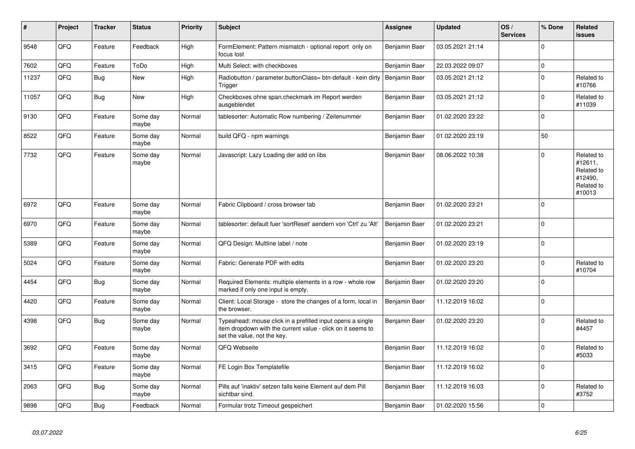| #     | Project | <b>Tracker</b> | <b>Status</b>     | <b>Priority</b> | <b>Subject</b>                                                                                                                                           | Assignee             | <b>Updated</b>   | OS/<br><b>Services</b> | % Done      | Related<br><b>issues</b>                                               |
|-------|---------|----------------|-------------------|-----------------|----------------------------------------------------------------------------------------------------------------------------------------------------------|----------------------|------------------|------------------------|-------------|------------------------------------------------------------------------|
| 9548  | QFQ     | Feature        | Feedback          | High            | FormElement: Pattern mismatch - optional report only on<br>focus lost                                                                                    | Benjamin Baer        | 03.05.2021 21:14 |                        | $\Omega$    |                                                                        |
| 7602  | QFQ     | Feature        | ToDo              | High            | Multi Select: with checkboxes                                                                                                                            | <b>Benjamin Baer</b> | 22.03.2022 09:07 |                        | $\mathsf 0$ |                                                                        |
| 11237 | QFQ     | <b>Bug</b>     | <b>New</b>        | High            | Radiobutton / parameter.buttonClass= btn-default - kein dirty<br>Trigger                                                                                 | Benjamin Baer        | 03.05.2021 21:12 |                        | $\mathbf 0$ | Related to<br>#10766                                                   |
| 11057 | QFQ     | <b>Bug</b>     | New               | High            | Checkboxes ohne span.checkmark im Report werden<br>ausgeblendet                                                                                          | Benjamin Baer        | 03.05.2021 21:12 |                        | $\mathbf 0$ | Related to<br>#11039                                                   |
| 9130  | QFQ     | Feature        | Some day<br>maybe | Normal          | tablesorter: Automatic Row numbering / Zeilenummer                                                                                                       | Benjamin Baer        | 01.02.2020 23:22 |                        | $\Omega$    |                                                                        |
| 8522  | QFQ     | Feature        | Some day<br>maybe | Normal          | build QFQ - npm warnings                                                                                                                                 | Benjamin Baer        | 01.02.2020 23:19 |                        | 50          |                                                                        |
| 7732  | QFQ     | Feature        | Some day<br>maybe | Normal          | Javascript: Lazy Loading der add on libs                                                                                                                 | <b>Benjamin Baer</b> | 08.06.2022 10:38 |                        | $\Omega$    | Related to<br>#12611,<br>Related to<br>#12490,<br>Related to<br>#10013 |
| 6972  | QFQ     | Feature        | Some day<br>maybe | Normal          | Fabric Clipboard / cross browser tab                                                                                                                     | Benjamin Baer        | 01.02.2020 23:21 |                        | $\Omega$    |                                                                        |
| 6970  | QFQ     | Feature        | Some day<br>maybe | Normal          | tablesorter: default fuer 'sortReset' aendern von 'Ctrl' zu 'Alt'                                                                                        | Benjamin Baer        | 01.02.2020 23:21 |                        | $\Omega$    |                                                                        |
| 5389  | QFQ     | Feature        | Some day<br>maybe | Normal          | QFQ Design: Multline label / note                                                                                                                        | Benjamin Baer        | 01.02.2020 23:19 |                        | $\Omega$    |                                                                        |
| 5024  | QFQ     | Feature        | Some day<br>maybe | Normal          | Fabric: Generate PDF with edits                                                                                                                          | Benjamin Baer        | 01.02.2020 23:20 |                        | $\mathbf 0$ | Related to<br>#10704                                                   |
| 4454  | QFQ     | <b>Bug</b>     | Some day<br>maybe | Normal          | Required Elements: multiple elements in a row - whole row<br>marked if only one input is empty.                                                          | Benjamin Baer        | 01.02.2020 23:20 |                        | $\Omega$    |                                                                        |
| 4420  | QFQ     | Feature        | Some day<br>maybe | Normal          | Client: Local Storage - store the changes of a form, local in<br>the browser.                                                                            | Benjamin Baer        | 11.12.2019 16:02 |                        | 0           |                                                                        |
| 4398  | QFQ     | Bug            | Some day<br>maybe | Normal          | Typeahead: mouse click in a prefilled input opens a single<br>item dropdown with the current value - click on it seems to<br>set the value, not the key. | Benjamin Baer        | 01.02.2020 23:20 |                        | $\Omega$    | Related to<br>#4457                                                    |
| 3692  | QFQ     | Feature        | Some day<br>maybe | Normal          | QFQ Webseite                                                                                                                                             | Benjamin Baer        | 11.12.2019 16:02 |                        | $\Omega$    | Related to<br>#5033                                                    |
| 3415  | QFQ     | Feature        | Some day<br>maybe | Normal          | FE Login Box Templatefile                                                                                                                                | Benjamin Baer        | 11.12.2019 16:02 |                        | $\mathbf 0$ |                                                                        |
| 2063  | QFQ     | <b>Bug</b>     | Some day<br>maybe | Normal          | Pills auf 'inaktiv' setzen falls keine Element auf dem Pill<br>sichtbar sind.                                                                            | Benjamin Baer        | 11.12.2019 16:03 |                        | $\Omega$    | Related to<br>#3752                                                    |
| 9898  | QFQ     | Bug            | Feedback          | Normal          | Formular trotz Timeout gespeichert                                                                                                                       | Benjamin Baer        | 01.02.2020 15:56 |                        | 0           |                                                                        |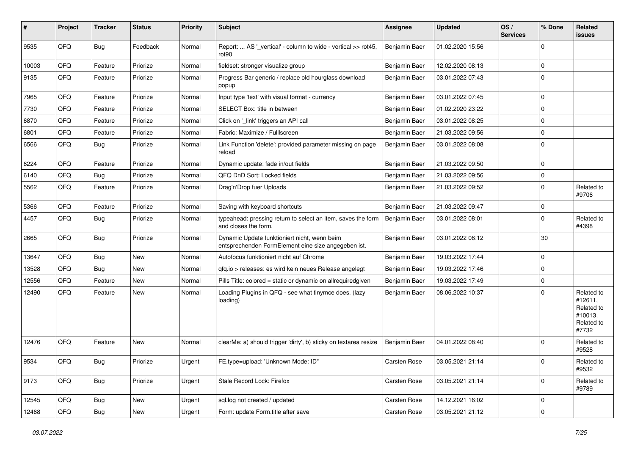| #     | Project | <b>Tracker</b> | <b>Status</b> | <b>Priority</b> | Subject                                                                                             | <b>Assignee</b> | <b>Updated</b>   | OS/<br><b>Services</b> | % Done      | Related<br>issues                                                     |
|-------|---------|----------------|---------------|-----------------|-----------------------------------------------------------------------------------------------------|-----------------|------------------|------------------------|-------------|-----------------------------------------------------------------------|
| 9535  | QFQ     | <b>Bug</b>     | Feedback      | Normal          | Report:  AS '_vertical' - column to wide - vertical >> rot45,<br>rot90                              | Benjamin Baer   | 01.02.2020 15:56 |                        | $\Omega$    |                                                                       |
| 10003 | QFQ     | Feature        | Priorize      | Normal          | fieldset: stronger visualize group                                                                  | Benjamin Baer   | 12.02.2020 08:13 |                        | $\Omega$    |                                                                       |
| 9135  | QFQ     | Feature        | Priorize      | Normal          | Progress Bar generic / replace old hourglass download<br>popup                                      | Benjamin Baer   | 03.01.2022 07:43 |                        | $\Omega$    |                                                                       |
| 7965  | QFQ     | Feature        | Priorize      | Normal          | Input type 'text' with visual format - currency                                                     | Benjamin Baer   | 03.01.2022 07:45 |                        | $\Omega$    |                                                                       |
| 7730  | QFQ     | Feature        | Priorize      | Normal          | SELECT Box: title in between                                                                        | Benjamin Baer   | 01.02.2020 23:22 |                        | $\mathbf 0$ |                                                                       |
| 6870  | QFQ     | Feature        | Priorize      | Normal          | Click on '_link' triggers an API call                                                               | Benjamin Baer   | 03.01.2022 08:25 |                        | $\Omega$    |                                                                       |
| 6801  | QFQ     | Feature        | Priorize      | Normal          | Fabric: Maximize / Fulllscreen                                                                      | Benjamin Baer   | 21.03.2022 09:56 |                        | 0           |                                                                       |
| 6566  | QFQ     | <b>Bug</b>     | Priorize      | Normal          | Link Function 'delete': provided parameter missing on page<br>reload                                | Benjamin Baer   | 03.01.2022 08:08 |                        | $\Omega$    |                                                                       |
| 6224  | QFQ     | Feature        | Priorize      | Normal          | Dynamic update: fade in/out fields                                                                  | Benjamin Baer   | 21.03.2022 09:50 |                        | $\Omega$    |                                                                       |
| 6140  | QFQ     | <b>Bug</b>     | Priorize      | Normal          | QFQ DnD Sort: Locked fields                                                                         | Benjamin Baer   | 21.03.2022 09:56 |                        | 0           |                                                                       |
| 5562  | QFQ     | Feature        | Priorize      | Normal          | Drag'n'Drop fuer Uploads                                                                            | Benjamin Baer   | 21.03.2022 09:52 |                        | $\Omega$    | Related to<br>#9706                                                   |
| 5366  | QFQ     | Feature        | Priorize      | Normal          | Saving with keyboard shortcuts                                                                      | Benjamin Baer   | 21.03.2022 09:47 |                        | $\Omega$    |                                                                       |
| 4457  | QFQ     | Bug            | Priorize      | Normal          | typeahead: pressing return to select an item, saves the form<br>and closes the form.                | Benjamin Baer   | 03.01.2022 08:01 |                        | 0           | Related to<br>#4398                                                   |
| 2665  | QFQ     | Bug            | Priorize      | Normal          | Dynamic Update funktioniert nicht, wenn beim<br>entsprechenden FormElement eine size angegeben ist. | Benjamin Baer   | 03.01.2022 08:12 |                        | 30          |                                                                       |
| 13647 | QFQ     | <b>Bug</b>     | <b>New</b>    | Normal          | Autofocus funktioniert nicht auf Chrome                                                             | Benjamin Baer   | 19.03.2022 17:44 |                        | $\Omega$    |                                                                       |
| 13528 | QFQ     | Bug            | <b>New</b>    | Normal          | qfq.io > releases: es wird kein neues Release angelegt                                              | Benjamin Baer   | 19.03.2022 17:46 |                        | $\mathbf 0$ |                                                                       |
| 12556 | QFQ     | Feature        | New           | Normal          | Pills Title: colored = static or dynamic on allrequiredgiven                                        | Benjamin Baer   | 19.03.2022 17:49 |                        | $\mathbf 0$ |                                                                       |
| 12490 | QFQ     | Feature        | <b>New</b>    | Normal          | Loading Plugins in QFQ - see what tinymce does. (lazy<br>loading)                                   | Benjamin Baer   | 08.06.2022 10:37 |                        | $\Omega$    | Related to<br>#12611,<br>Related to<br>#10013,<br>Related to<br>#7732 |
| 12476 | QFQ     | Feature        | <b>New</b>    | Normal          | clearMe: a) should trigger 'dirty', b) sticky on textarea resize                                    | Benjamin Baer   | 04.01.2022 08:40 |                        | $\Omega$    | Related to<br>#9528                                                   |
| 9534  | QFQ     | Bug            | Priorize      | Urgent          | FE.type=upload: 'Unknown Mode: ID"                                                                  | Carsten Rose    | 03.05.2021 21:14 |                        | 0           | Related to<br>#9532                                                   |
| 9173  | QFQ     | Bug            | Priorize      | Urgent          | Stale Record Lock: Firefox                                                                          | Carsten Rose    | 03.05.2021 21:14 |                        | $\mathbf 0$ | Related to<br>#9789                                                   |
| 12545 | QFQ     | Bug            | New           | Urgent          | sql.log not created / updated                                                                       | Carsten Rose    | 14.12.2021 16:02 |                        | $\mathbf 0$ |                                                                       |
| 12468 | QFQ     | <b>Bug</b>     | New           | Urgent          | Form: update Form.title after save                                                                  | Carsten Rose    | 03.05.2021 21:12 |                        | $\mathbf 0$ |                                                                       |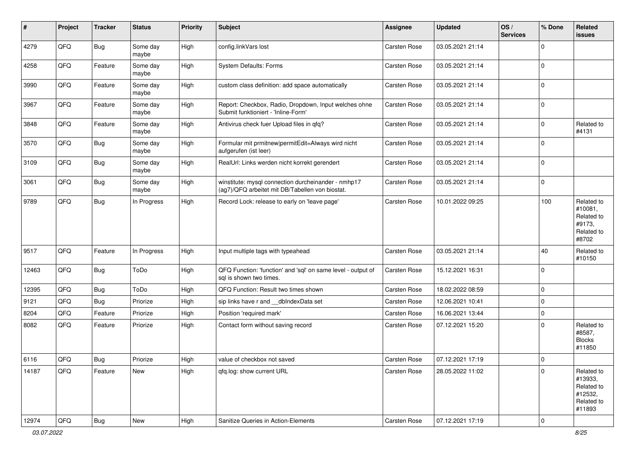| #     | Project        | <b>Tracker</b> | <b>Status</b>     | <b>Priority</b> | <b>Subject</b>                                                                                         | Assignee            | <b>Updated</b>   | OS/<br><b>Services</b> | % Done                  | Related<br><b>issues</b>                                               |
|-------|----------------|----------------|-------------------|-----------------|--------------------------------------------------------------------------------------------------------|---------------------|------------------|------------------------|-------------------------|------------------------------------------------------------------------|
| 4279  | QFQ            | Bug            | Some day<br>maybe | High            | config.linkVars lost                                                                                   | Carsten Rose        | 03.05.2021 21:14 |                        | $\Omega$                |                                                                        |
| 4258  | QFQ            | Feature        | Some day<br>maybe | High            | <b>System Defaults: Forms</b>                                                                          | Carsten Rose        | 03.05.2021 21:14 |                        | 0                       |                                                                        |
| 3990  | QFQ            | Feature        | Some day<br>maybe | High            | custom class definition: add space automatically                                                       | Carsten Rose        | 03.05.2021 21:14 |                        | $\Omega$                |                                                                        |
| 3967  | QFQ            | Feature        | Some day<br>maybe | High            | Report: Checkbox, Radio, Dropdown, Input welches ohne<br>Submit funktioniert - 'Inline-Form'           | <b>Carsten Rose</b> | 03.05.2021 21:14 |                        | $\mathbf 0$             |                                                                        |
| 3848  | QFQ            | Feature        | Some day<br>maybe | High            | Antivirus check fuer Upload files in qfq?                                                              | Carsten Rose        | 03.05.2021 21:14 |                        | 0                       | Related to<br>#4131                                                    |
| 3570  | QFQ            | Bug            | Some day<br>maybe | High            | Formular mit prmitnew permitEdit=Always wird nicht<br>aufgerufen (ist leer)                            | <b>Carsten Rose</b> | 03.05.2021 21:14 |                        | $\Omega$                |                                                                        |
| 3109  | QFQ            | Bug            | Some day<br>maybe | High            | RealUrl: Links werden nicht korrekt gerendert                                                          | Carsten Rose        | 03.05.2021 21:14 |                        | $\mathbf 0$             |                                                                        |
| 3061  | QFQ            | Bug            | Some day<br>maybe | High            | winstitute: mysql connection durcheinander - nmhp17<br>(ag7)/QFQ arbeitet mit DB/Tabellen von biostat. | Carsten Rose        | 03.05.2021 21:14 |                        | 0                       |                                                                        |
| 9789  | QFQ            | Bug            | In Progress       | High            | Record Lock: release to early on 'leave page'                                                          | Carsten Rose        | 10.01.2022 09:25 |                        | 100                     | Related to<br>#10081.<br>Related to<br>#9173,<br>Related to<br>#8702   |
| 9517  | QFQ            | Feature        | In Progress       | High            | Input multiple tags with typeahead                                                                     | Carsten Rose        | 03.05.2021 21:14 |                        | 40                      | Related to<br>#10150                                                   |
| 12463 | QFQ            | Bug            | ToDo              | High            | QFQ Function: 'function' and 'sql' on same level - output of<br>sgl is shown two times.                | <b>Carsten Rose</b> | 15.12.2021 16:31 |                        | $\Omega$                |                                                                        |
| 12395 | QFQ            | Bug            | ToDo              | High            | QFQ Function: Result two times shown                                                                   | Carsten Rose        | 18.02.2022 08:59 |                        | $\mathbf 0$             |                                                                        |
| 9121  | QFQ            | Bug            | Priorize          | High            | sip links have r and __dbIndexData set                                                                 | Carsten Rose        | 12.06.2021 10:41 |                        | $\mathbf 0$             |                                                                        |
| 8204  | QFQ            | Feature        | Priorize          | High            | Position 'required mark'                                                                               | <b>Carsten Rose</b> | 16.06.2021 13:44 |                        | $\mathbf 0$             |                                                                        |
| 8082  | QFQ            | Feature        | Priorize          | High            | Contact form without saving record                                                                     | Carsten Rose        | 07.12.2021 15:20 |                        | 0                       | Related to<br>#8587,<br><b>Blocks</b><br>#11850                        |
| 6116  | $\mathsf{QFQ}$ | Bug            | Priorize          | High            | value of checkbox not saved                                                                            | Carsten Rose        | 07.12.2021 17:19 |                        | U                       |                                                                        |
| 14187 | QFQ            | Feature        | New               | High            | gfg.log: show current URL                                                                              | <b>Carsten Rose</b> | 28.05.2022 11:02 |                        | $\mathbf 0$             | Related to<br>#13933,<br>Related to<br>#12532,<br>Related to<br>#11893 |
| 12974 | QFG            | Bug            | New               | High            | Sanitize Queries in Action-Elements                                                                    | Carsten Rose        | 07.12.2021 17:19 |                        | $\overline{\mathbf{0}}$ |                                                                        |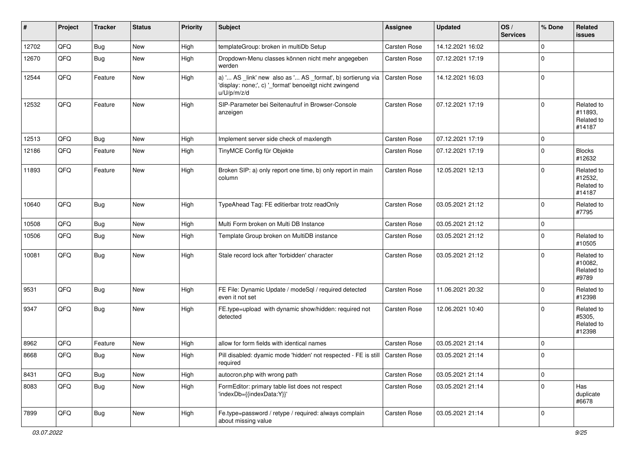| #     | Project | <b>Tracker</b> | <b>Status</b> | <b>Priority</b> | <b>Subject</b>                                                                                                                        | <b>Assignee</b>     | <b>Updated</b>   | OS/<br><b>Services</b> | % Done         | Related<br><b>issues</b>                      |
|-------|---------|----------------|---------------|-----------------|---------------------------------------------------------------------------------------------------------------------------------------|---------------------|------------------|------------------------|----------------|-----------------------------------------------|
| 12702 | QFQ     | <b>Bug</b>     | New           | High            | templateGroup: broken in multiDb Setup                                                                                                | Carsten Rose        | 14.12.2021 16:02 |                        | 0              |                                               |
| 12670 | QFQ     | <b>Bug</b>     | <b>New</b>    | High            | Dropdown-Menu classes können nicht mehr angegeben<br>werden                                                                           | Carsten Rose        | 07.12.2021 17:19 |                        | 0              |                                               |
| 12544 | QFQ     | Feature        | New           | High            | a) ' AS _link' new also as ' AS _format', b) sortierung via<br>'display: none;', c) '_format' benoeitgt nicht zwingend<br>u/U/p/m/z/d | Carsten Rose        | 14.12.2021 16:03 |                        | 0              |                                               |
| 12532 | QFQ     | Feature        | <b>New</b>    | High            | SIP-Parameter bei Seitenaufruf in Browser-Console<br>anzeigen                                                                         | <b>Carsten Rose</b> | 07.12.2021 17:19 |                        | $\mathbf 0$    | Related to<br>#11893,<br>Related to<br>#14187 |
| 12513 | QFQ     | <b>Bug</b>     | New           | High            | Implement server side check of maxlength                                                                                              | Carsten Rose        | 07.12.2021 17:19 |                        | $\mathbf 0$    |                                               |
| 12186 | QFQ     | Feature        | <b>New</b>    | High            | TinyMCE Config für Objekte                                                                                                            | Carsten Rose        | 07.12.2021 17:19 |                        | $\mathbf 0$    | <b>Blocks</b><br>#12632                       |
| 11893 | QFQ     | Feature        | New           | High            | Broken SIP: a) only report one time, b) only report in main<br>column                                                                 | <b>Carsten Rose</b> | 12.05.2021 12:13 |                        | 0              | Related to<br>#12532,<br>Related to<br>#14187 |
| 10640 | QFQ     | <b>Bug</b>     | New           | High            | TypeAhead Tag: FE editierbar trotz readOnly                                                                                           | Carsten Rose        | 03.05.2021 21:12 |                        | 0              | Related to<br>#7795                           |
| 10508 | QFQ     | <b>Bug</b>     | New           | High            | Multi Form broken on Multi DB Instance                                                                                                | Carsten Rose        | 03.05.2021 21:12 |                        | 0              |                                               |
| 10506 | QFQ     | <b>Bug</b>     | <b>New</b>    | High            | Template Group broken on MultiDB instance                                                                                             | Carsten Rose        | 03.05.2021 21:12 |                        | 0              | Related to<br>#10505                          |
| 10081 | QFQ     | <b>Bug</b>     | New           | High            | Stale record lock after 'forbidden' character                                                                                         | Carsten Rose        | 03.05.2021 21:12 |                        | l 0            | Related to<br>#10082,<br>Related to<br>#9789  |
| 9531  | QFQ     | Bug            | New           | High            | FE File: Dynamic Update / modeSql / required detected<br>even it not set                                                              | Carsten Rose        | 11.06.2021 20:32 |                        | 0              | Related to<br>#12398                          |
| 9347  | QFQ     | <b>Bug</b>     | New           | High            | FE.type=upload with dynamic show/hidden: required not<br>detected                                                                     | Carsten Rose        | 12.06.2021 10:40 |                        | $\mathbf 0$    | Related to<br>#5305,<br>Related to<br>#12398  |
| 8962  | QFQ     | Feature        | New           | High            | allow for form fields with identical names                                                                                            | Carsten Rose        | 03.05.2021 21:14 |                        | 0              |                                               |
| 8668  | QFQ     | Bug            | New           | High            | Pill disabled: dyamic mode 'hidden' not respected - FE is still   Carsten Rose<br>required                                            |                     | 03.05.2021 21:14 |                        | 0              |                                               |
| 8431  | QFQ     | <b>Bug</b>     | New           | High            | autocron.php with wrong path                                                                                                          | Carsten Rose        | 03.05.2021 21:14 |                        | $\overline{0}$ |                                               |
| 8083  | QFQ     | <b>Bug</b>     | New           | High            | FormEditor: primary table list does not respect<br>'indexDb={{indexData:Y}}'                                                          | Carsten Rose        | 03.05.2021 21:14 |                        | 0              | Has<br>duplicate<br>#6678                     |
| 7899  | QFQ     | <b>Bug</b>     | New           | High            | Fe.type=password / retype / required: always complain<br>about missing value                                                          | <b>Carsten Rose</b> | 03.05.2021 21:14 |                        | 0              |                                               |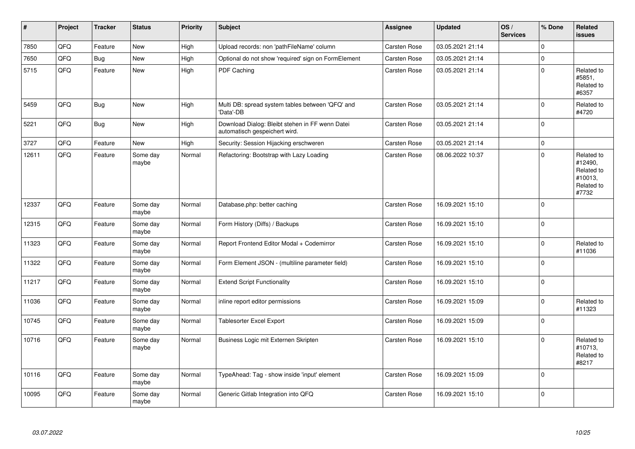| $\vert$ # | Project | <b>Tracker</b> | <b>Status</b>     | <b>Priority</b> | <b>Subject</b>                                                                   | Assignee            | Updated          | OS/<br><b>Services</b> | % Done         | Related<br>issues                                                     |
|-----------|---------|----------------|-------------------|-----------------|----------------------------------------------------------------------------------|---------------------|------------------|------------------------|----------------|-----------------------------------------------------------------------|
| 7850      | QFQ     | Feature        | <b>New</b>        | High            | Upload records: non 'pathFileName' column                                        | <b>Carsten Rose</b> | 03.05.2021 21:14 |                        | $\Omega$       |                                                                       |
| 7650      | QFQ     | <b>Bug</b>     | New               | High            | Optional do not show 'required' sign on FormElement                              | Carsten Rose        | 03.05.2021 21:14 |                        | $\Omega$       |                                                                       |
| 5715      | QFQ     | Feature        | New               | High            | PDF Caching                                                                      | <b>Carsten Rose</b> | 03.05.2021 21:14 |                        | $\mathbf 0$    | Related to<br>#5851,<br>Related to<br>#6357                           |
| 5459      | QFQ     | Bug            | New               | High            | Multi DB: spread system tables between 'QFQ' and<br>'Data'-DB                    | <b>Carsten Rose</b> | 03.05.2021 21:14 |                        | $\Omega$       | Related to<br>#4720                                                   |
| 5221      | QFQ     | <b>Bug</b>     | New               | High            | Download Dialog: Bleibt stehen in FF wenn Datei<br>automatisch gespeichert wird. | <b>Carsten Rose</b> | 03.05.2021 21:14 |                        | 0              |                                                                       |
| 3727      | QFQ     | Feature        | <b>New</b>        | High            | Security: Session Hijacking erschweren                                           | Carsten Rose        | 03.05.2021 21:14 |                        | $\overline{0}$ |                                                                       |
| 12611     | QFQ     | Feature        | Some day<br>maybe | Normal          | Refactoring: Bootstrap with Lazy Loading                                         | <b>Carsten Rose</b> | 08.06.2022 10:37 |                        | l 0            | Related to<br>#12490,<br>Related to<br>#10013,<br>Related to<br>#7732 |
| 12337     | QFQ     | Feature        | Some day<br>maybe | Normal          | Database.php: better caching                                                     | Carsten Rose        | 16.09.2021 15:10 |                        | 0              |                                                                       |
| 12315     | QFQ     | Feature        | Some day<br>maybe | Normal          | Form History (Diffs) / Backups                                                   | <b>Carsten Rose</b> | 16.09.2021 15:10 |                        | $\overline{0}$ |                                                                       |
| 11323     | QFQ     | Feature        | Some day<br>maybe | Normal          | Report Frontend Editor Modal + Codemirror                                        | Carsten Rose        | 16.09.2021 15:10 |                        | $\Omega$       | Related to<br>#11036                                                  |
| 11322     | QFQ     | Feature        | Some day<br>maybe | Normal          | Form Element JSON - (multiline parameter field)                                  | Carsten Rose        | 16.09.2021 15:10 |                        | $\overline{0}$ |                                                                       |
| 11217     | QFQ     | Feature        | Some day<br>maybe | Normal          | <b>Extend Script Functionality</b>                                               | <b>Carsten Rose</b> | 16.09.2021 15:10 |                        | 0              |                                                                       |
| 11036     | QFQ     | Feature        | Some day<br>maybe | Normal          | inline report editor permissions                                                 | Carsten Rose        | 16.09.2021 15:09 |                        | $\Omega$       | Related to<br>#11323                                                  |
| 10745     | QFQ     | Feature        | Some day<br>maybe | Normal          | <b>Tablesorter Excel Export</b>                                                  | Carsten Rose        | 16.09.2021 15:09 |                        | $\overline{0}$ |                                                                       |
| 10716     | QFQ     | Feature        | Some day<br>maybe | Normal          | Business Logic mit Externen Skripten                                             | <b>Carsten Rose</b> | 16.09.2021 15:10 |                        | $\Omega$       | Related to<br>#10713,<br>Related to<br>#8217                          |
| 10116     | QFQ     | Feature        | Some day<br>maybe | Normal          | TypeAhead: Tag - show inside 'input' element                                     | Carsten Rose        | 16.09.2021 15:09 |                        | $\overline{0}$ |                                                                       |
| 10095     | QFQ     | Feature        | Some day<br>maybe | Normal          | Generic Gitlab Integration into QFQ                                              | <b>Carsten Rose</b> | 16.09.2021 15:10 |                        | $\overline{0}$ |                                                                       |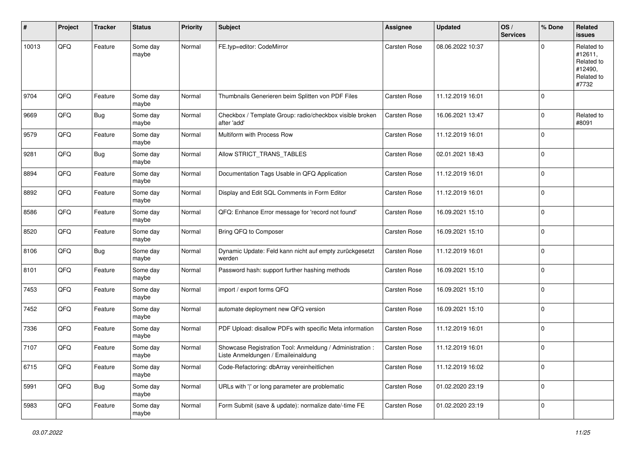| #     | Project | <b>Tracker</b> | <b>Status</b>     | <b>Priority</b> | <b>Subject</b>                                                                                 | <b>Assignee</b> | <b>Updated</b>   | OS/<br><b>Services</b> | % Done      | Related<br>issues                                                     |
|-------|---------|----------------|-------------------|-----------------|------------------------------------------------------------------------------------------------|-----------------|------------------|------------------------|-------------|-----------------------------------------------------------------------|
| 10013 | QFQ     | Feature        | Some day<br>maybe | Normal          | FE.typ=editor: CodeMirror                                                                      | Carsten Rose    | 08.06.2022 10:37 |                        | $\Omega$    | Related to<br>#12611,<br>Related to<br>#12490,<br>Related to<br>#7732 |
| 9704  | QFQ     | Feature        | Some day<br>maybe | Normal          | Thumbnails Generieren beim Splitten von PDF Files                                              | Carsten Rose    | 11.12.2019 16:01 |                        | $\mathbf 0$ |                                                                       |
| 9669  | QFQ     | <b>Bug</b>     | Some day<br>maybe | Normal          | Checkbox / Template Group: radio/checkbox visible broken<br>after 'add'                        | Carsten Rose    | 16.06.2021 13:47 |                        | $\mathbf 0$ | Related to<br>#8091                                                   |
| 9579  | QFQ     | Feature        | Some day<br>maybe | Normal          | Multiform with Process Row                                                                     | Carsten Rose    | 11.12.2019 16:01 |                        | $\Omega$    |                                                                       |
| 9281  | QFQ     | <b>Bug</b>     | Some day<br>maybe | Normal          | Allow STRICT_TRANS_TABLES                                                                      | Carsten Rose    | 02.01.2021 18:43 |                        | $\mathbf 0$ |                                                                       |
| 8894  | QFQ     | Feature        | Some day<br>maybe | Normal          | Documentation Tags Usable in QFQ Application                                                   | Carsten Rose    | 11.12.2019 16:01 |                        | $\mathbf 0$ |                                                                       |
| 8892  | QFQ     | Feature        | Some day<br>maybe | Normal          | Display and Edit SQL Comments in Form Editor                                                   | Carsten Rose    | 11.12.2019 16:01 |                        | $\mathbf 0$ |                                                                       |
| 8586  | QFQ     | Feature        | Some day<br>maybe | Normal          | QFQ: Enhance Error message for 'record not found'                                              | Carsten Rose    | 16.09.2021 15:10 |                        | $\mathbf 0$ |                                                                       |
| 8520  | QFQ     | Feature        | Some day<br>maybe | Normal          | Bring QFQ to Composer                                                                          | Carsten Rose    | 16.09.2021 15:10 |                        | $\Omega$    |                                                                       |
| 8106  | QFQ     | <b>Bug</b>     | Some day<br>maybe | Normal          | Dynamic Update: Feld kann nicht auf empty zurückgesetzt<br>werden                              | Carsten Rose    | 11.12.2019 16:01 |                        | $\Omega$    |                                                                       |
| 8101  | QFQ     | Feature        | Some day<br>maybe | Normal          | Password hash: support further hashing methods                                                 | Carsten Rose    | 16.09.2021 15:10 |                        | $\Omega$    |                                                                       |
| 7453  | QFQ     | Feature        | Some day<br>maybe | Normal          | import / export forms QFQ                                                                      | Carsten Rose    | 16.09.2021 15:10 |                        | $\mathbf 0$ |                                                                       |
| 7452  | QFQ     | Feature        | Some day<br>maybe | Normal          | automate deployment new QFQ version                                                            | Carsten Rose    | 16.09.2021 15:10 |                        | $\mathbf 0$ |                                                                       |
| 7336  | QFQ     | Feature        | Some day<br>maybe | Normal          | PDF Upload: disallow PDFs with specific Meta information                                       | Carsten Rose    | 11.12.2019 16:01 |                        | $\mathbf 0$ |                                                                       |
| 7107  | QFQ     | Feature        | Some day<br>maybe | Normal          | Showcase Registration Tool: Anmeldung / Administration :<br>Liste Anmeldungen / Emaileinaldung | Carsten Rose    | 11.12.2019 16:01 |                        | $\Omega$    |                                                                       |
| 6715  | QFQ     | Feature        | Some day<br>maybe | Normal          | Code-Refactoring: dbArray vereinheitlichen                                                     | Carsten Rose    | 11.12.2019 16:02 |                        | $\mathbf 0$ |                                                                       |
| 5991  | QFQ     | Bug            | Some day<br>maybe | Normal          | URLs with ' ' or long parameter are problematic                                                | Carsten Rose    | 01.02.2020 23:19 |                        | $\mathbf 0$ |                                                                       |
| 5983  | QFQ     | Feature        | Some day<br>maybe | Normal          | Form Submit (save & update): normalize date/-time FE                                           | Carsten Rose    | 01.02.2020 23:19 |                        | $\mathbf 0$ |                                                                       |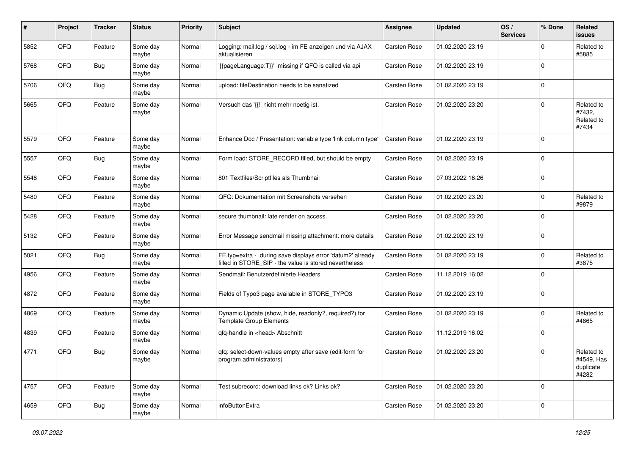| ∦    | Project | <b>Tracker</b> | <b>Status</b>     | <b>Priority</b> | Subject                                                                                                              | <b>Assignee</b>     | <b>Updated</b>   | OS/<br><b>Services</b> | % Done      | Related<br><b>issues</b>                       |
|------|---------|----------------|-------------------|-----------------|----------------------------------------------------------------------------------------------------------------------|---------------------|------------------|------------------------|-------------|------------------------------------------------|
| 5852 | QFQ     | Feature        | Some day<br>maybe | Normal          | Logging: mail.log / sql.log - im FE anzeigen und via AJAX<br>aktualisieren                                           | Carsten Rose        | 01.02.2020 23:19 |                        | $\Omega$    | Related to<br>#5885                            |
| 5768 | QFQ     | <b>Bug</b>     | Some day<br>maybe | Normal          | {{pageLanguage:T}}' missing if QFQ is called via api                                                                 | Carsten Rose        | 01.02.2020 23:19 |                        | $\Omega$    |                                                |
| 5706 | QFQ     | <b>Bug</b>     | Some day<br>maybe | Normal          | upload: fileDestination needs to be sanatized                                                                        | Carsten Rose        | 01.02.2020 23:19 |                        | $\Omega$    |                                                |
| 5665 | QFQ     | Feature        | Some day<br>maybe | Normal          | Versuch das '{{!' nicht mehr noetig ist.                                                                             | Carsten Rose        | 01.02.2020 23:20 |                        | $\Omega$    | Related to<br>#7432,<br>Related to<br>#7434    |
| 5579 | QFQ     | Feature        | Some day<br>maybe | Normal          | Enhance Doc / Presentation: variable type 'link column type'                                                         | <b>Carsten Rose</b> | 01.02.2020 23:19 |                        | $\Omega$    |                                                |
| 5557 | QFQ     | Bug            | Some day<br>maybe | Normal          | Form load: STORE_RECORD filled, but should be empty                                                                  | Carsten Rose        | 01.02.2020 23:19 |                        | $\mathbf 0$ |                                                |
| 5548 | QFQ     | Feature        | Some day<br>maybe | Normal          | 801 Textfiles/Scriptfiles als Thumbnail                                                                              | Carsten Rose        | 07.03.2022 16:26 |                        | $\mathbf 0$ |                                                |
| 5480 | QFQ     | Feature        | Some day<br>maybe | Normal          | QFQ: Dokumentation mit Screenshots versehen                                                                          | Carsten Rose        | 01.02.2020 23:20 |                        | $\Omega$    | Related to<br>#9879                            |
| 5428 | QFQ     | Feature        | Some day<br>maybe | Normal          | secure thumbnail: late render on access.                                                                             | Carsten Rose        | 01.02.2020 23:20 |                        | $\Omega$    |                                                |
| 5132 | QFQ     | Feature        | Some day<br>maybe | Normal          | Error Message sendmail missing attachment: more details                                                              | <b>Carsten Rose</b> | 01.02.2020 23:19 |                        | $\Omega$    |                                                |
| 5021 | QFQ     | Bug            | Some day<br>maybe | Normal          | FE.typ=extra - during save displays error 'datum2' already<br>filled in STORE_SIP - the value is stored nevertheless | Carsten Rose        | 01.02.2020 23:19 |                        | l 0         | Related to<br>#3875                            |
| 4956 | QFQ     | Feature        | Some day<br>maybe | Normal          | Sendmail: Benutzerdefinierte Headers                                                                                 | Carsten Rose        | 11.12.2019 16:02 |                        | $\Omega$    |                                                |
| 4872 | QFQ     | Feature        | Some day<br>maybe | Normal          | Fields of Typo3 page available in STORE_TYPO3                                                                        | Carsten Rose        | 01.02.2020 23:19 |                        | $\Omega$    |                                                |
| 4869 | QFQ     | Feature        | Some day<br>maybe | Normal          | Dynamic Update (show, hide, readonly?, required?) for<br><b>Template Group Elements</b>                              | Carsten Rose        | 01.02.2020 23:19 |                        | $\Omega$    | Related to<br>#4865                            |
| 4839 | QFQ     | Feature        | Some day<br>maybe | Normal          | qfq-handle in <head> Abschnitt</head>                                                                                | Carsten Rose        | 11.12.2019 16:02 |                        | $\Omega$    |                                                |
| 4771 | QFQ     | Bug            | Some day<br>maybe | Normal          | qfq: select-down-values empty after save (edit-form for<br>program administrators)                                   | Carsten Rose        | 01.02.2020 23:20 |                        | $\Omega$    | Related to<br>#4549, Has<br>duplicate<br>#4282 |
| 4757 | QFQ     | Feature        | Some day<br>maybe | Normal          | Test subrecord: download links ok? Links ok?                                                                         | Carsten Rose        | 01.02.2020 23:20 |                        | 0           |                                                |
| 4659 | QFQ     | Bug            | Some day<br>maybe | Normal          | infoButtonExtra                                                                                                      | Carsten Rose        | 01.02.2020 23:20 |                        | $\mathbf 0$ |                                                |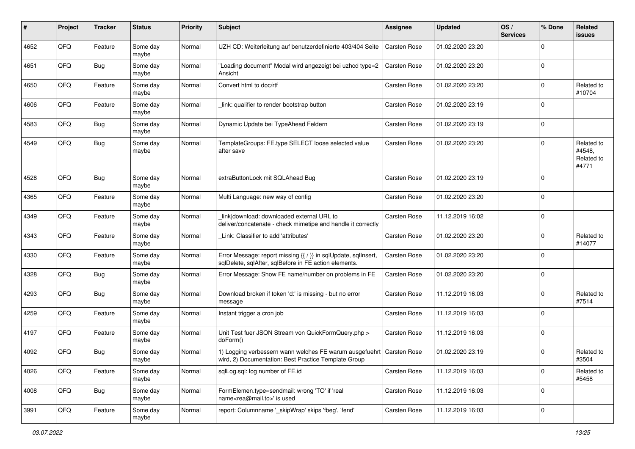| #    | Project | <b>Tracker</b> | <b>Status</b>     | <b>Priority</b> | <b>Subject</b>                                                                                                                 | Assignee            | <b>Updated</b>   | OS/<br><b>Services</b> | % Done      | Related<br><b>issues</b>                    |
|------|---------|----------------|-------------------|-----------------|--------------------------------------------------------------------------------------------------------------------------------|---------------------|------------------|------------------------|-------------|---------------------------------------------|
| 4652 | QFQ     | Feature        | Some day<br>maybe | Normal          | UZH CD: Weiterleitung auf benutzerdefinierte 403/404 Seite                                                                     | <b>Carsten Rose</b> | 01.02.2020 23:20 |                        | $\Omega$    |                                             |
| 4651 | QFQ     | Bug            | Some day<br>maybe | Normal          | "Loading document" Modal wird angezeigt bei uzhcd type=2<br>Ansicht                                                            | <b>Carsten Rose</b> | 01.02.2020 23:20 |                        | $\mathbf 0$ |                                             |
| 4650 | QFQ     | Feature        | Some day<br>maybe | Normal          | Convert html to doc/rtf                                                                                                        | Carsten Rose        | 01.02.2020 23:20 |                        | $\Omega$    | Related to<br>#10704                        |
| 4606 | QFQ     | Feature        | Some day<br>maybe | Normal          | link: qualifier to render bootstrap button                                                                                     | <b>Carsten Rose</b> | 01.02.2020 23:19 |                        | $\Omega$    |                                             |
| 4583 | QFQ     | Bug            | Some day<br>maybe | Normal          | Dynamic Update bei TypeAhead Feldern                                                                                           | <b>Carsten Rose</b> | 01.02.2020 23:19 |                        | $\Omega$    |                                             |
| 4549 | QFQ     | Bug            | Some day<br>maybe | Normal          | TemplateGroups: FE.type SELECT loose selected value<br>after save                                                              | <b>Carsten Rose</b> | 01.02.2020 23:20 |                        | $\Omega$    | Related to<br>#4548,<br>Related to<br>#4771 |
| 4528 | QFQ     | Bug            | Some day<br>maybe | Normal          | extraButtonLock mit SQLAhead Bug                                                                                               | Carsten Rose        | 01.02.2020 23:19 |                        | $\mathbf 0$ |                                             |
| 4365 | QFQ     | Feature        | Some day<br>maybe | Normal          | Multi Language: new way of config                                                                                              | <b>Carsten Rose</b> | 01.02.2020 23:20 |                        | $\Omega$    |                                             |
| 4349 | QFQ     | Feature        | Some day<br>maybe | Normal          | link download: downloaded external URL to<br>deliver/concatenate - check mimetipe and handle it correctly                      | <b>Carsten Rose</b> | 11.12.2019 16:02 |                        | $\Omega$    |                                             |
| 4343 | QFQ     | Feature        | Some day<br>maybe | Normal          | Link: Classifier to add 'attributes'                                                                                           | <b>Carsten Rose</b> | 01.02.2020 23:20 |                        | $\mathbf 0$ | Related to<br>#14077                        |
| 4330 | QFQ     | Feature        | Some day<br>maybe | Normal          | Error Message: report missing {{ / }} in sqlUpdate, sqlInsert,<br>sqlDelete, sqlAfter, sqlBefore in FE action elements.        | <b>Carsten Rose</b> | 01.02.2020 23:20 |                        | $\Omega$    |                                             |
| 4328 | QFQ     | Bug            | Some day<br>maybe | Normal          | Error Message: Show FE name/number on problems in FE                                                                           | <b>Carsten Rose</b> | 01.02.2020 23:20 |                        | $\Omega$    |                                             |
| 4293 | QFQ     | Bug            | Some day<br>maybe | Normal          | Download broken if token 'd:' is missing - but no error<br>message                                                             | Carsten Rose        | 11.12.2019 16:03 |                        | $\Omega$    | Related to<br>#7514                         |
| 4259 | QFQ     | Feature        | Some day<br>maybe | Normal          | Instant trigger a cron job                                                                                                     | <b>Carsten Rose</b> | 11.12.2019 16:03 |                        | $\Omega$    |                                             |
| 4197 | QFQ     | Feature        | Some day<br>maybe | Normal          | Unit Test fuer JSON Stream von QuickFormQuery.php ><br>doForm()                                                                | <b>Carsten Rose</b> | 11.12.2019 16:03 |                        | $\mathbf 0$ |                                             |
| 4092 | QFQ     | Bug            | Some day<br>maybe | Normal          | 1) Logging verbessern wann welches FE warum ausgefuehrt   Carsten Rose<br>wird, 2) Documentation: Best Practice Template Group |                     | 01.02.2020 23:19 |                        | $\Omega$    | Related to<br>#3504                         |
| 4026 | QFG     | Feature        | Some day<br>maybe | Normal          | sqlLog.sql: log number of FE.id                                                                                                | <b>Carsten Rose</b> | 11.12.2019 16:03 |                        | $\mathbf 0$ | Related to<br>#5458                         |
| 4008 | QFG     | <b>Bug</b>     | Some day<br>maybe | Normal          | FormElemen.type=sendmail: wrong 'TO' if 'real<br>name <rea@mail.to>' is used</rea@mail.to>                                     | Carsten Rose        | 11.12.2019 16:03 |                        | 0           |                                             |
| 3991 | QFQ     | Feature        | Some day<br>maybe | Normal          | report: Columnname '_skipWrap' skips 'fbeg', 'fend'                                                                            | Carsten Rose        | 11.12.2019 16:03 |                        | 0           |                                             |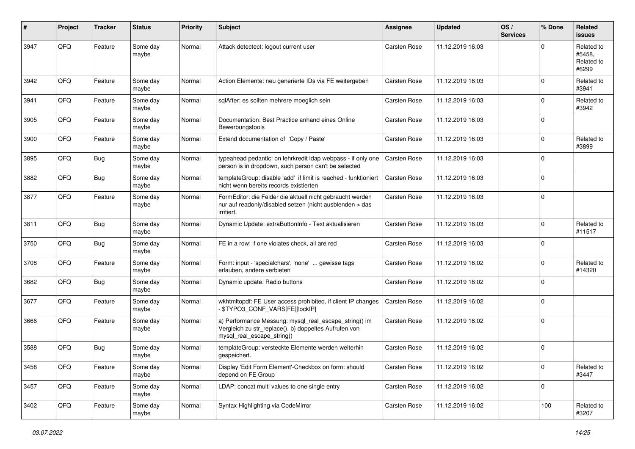| #    | Project | <b>Tracker</b> | <b>Status</b>     | <b>Priority</b> | <b>Subject</b>                                                                                                                               | Assignee            | <b>Updated</b>   | OS/<br><b>Services</b> | % Done      | Related<br><b>issues</b>                    |
|------|---------|----------------|-------------------|-----------------|----------------------------------------------------------------------------------------------------------------------------------------------|---------------------|------------------|------------------------|-------------|---------------------------------------------|
| 3947 | QFQ     | Feature        | Some day<br>maybe | Normal          | Attack detectect: logout current user                                                                                                        | <b>Carsten Rose</b> | 11.12.2019 16:03 |                        | $\Omega$    | Related to<br>#5458,<br>Related to<br>#6299 |
| 3942 | QFQ     | Feature        | Some day<br>maybe | Normal          | Action Elemente: neu generierte IDs via FE weitergeben                                                                                       | Carsten Rose        | 11.12.2019 16:03 |                        | $\Omega$    | Related to<br>#3941                         |
| 3941 | QFQ     | Feature        | Some day<br>maybe | Normal          | sqlAfter: es sollten mehrere moeglich sein                                                                                                   | <b>Carsten Rose</b> | 11.12.2019 16:03 |                        | $\mathbf 0$ | Related to<br>#3942                         |
| 3905 | QFQ     | Feature        | Some day<br>maybe | Normal          | Documentation: Best Practice anhand eines Online<br>Bewerbungstools                                                                          | <b>Carsten Rose</b> | 11.12.2019 16:03 |                        | $\mathbf 0$ |                                             |
| 3900 | QFQ     | Feature        | Some day<br>maybe | Normal          | Extend documentation of 'Copy / Paste'                                                                                                       | <b>Carsten Rose</b> | 11.12.2019 16:03 |                        | $\Omega$    | Related to<br>#3899                         |
| 3895 | QFQ     | Bug            | Some day<br>maybe | Normal          | typeahead pedantic: on lehrkredit Idap webpass - if only one<br>person is in dropdown, such person can't be selected                         | <b>Carsten Rose</b> | 11.12.2019 16:03 |                        | $\Omega$    |                                             |
| 3882 | QFQ     | Bug            | Some day<br>maybe | Normal          | templateGroup: disable 'add' if limit is reached - funktioniert<br>nicht wenn bereits records existierten                                    | <b>Carsten Rose</b> | 11.12.2019 16:03 |                        | $\mathbf 0$ |                                             |
| 3877 | QFQ     | Feature        | Some day<br>maybe | Normal          | FormEditor: die Felder die aktuell nicht gebraucht werden<br>nur auf readonly/disabled setzen (nicht ausblenden > das<br>irritiert.          | <b>Carsten Rose</b> | 11.12.2019 16:03 |                        | 0           |                                             |
| 3811 | QFQ     | <b>Bug</b>     | Some day<br>maybe | Normal          | Dynamic Update: extraButtonInfo - Text aktualisieren                                                                                         | <b>Carsten Rose</b> | 11.12.2019 16:03 |                        | $\Omega$    | Related to<br>#11517                        |
| 3750 | QFQ     | <b>Bug</b>     | Some day<br>maybe | Normal          | FE in a row: if one violates check, all are red                                                                                              | Carsten Rose        | 11.12.2019 16:03 |                        | $\Omega$    |                                             |
| 3708 | QFQ     | Feature        | Some day<br>maybe | Normal          | Form: input - 'specialchars', 'none'  gewisse tags<br>erlauben, andere verbieten                                                             | Carsten Rose        | 11.12.2019 16:02 |                        | $\Omega$    | Related to<br>#14320                        |
| 3682 | QFQ     | Bug            | Some day<br>maybe | Normal          | Dynamic update: Radio buttons                                                                                                                | <b>Carsten Rose</b> | 11.12.2019 16:02 |                        | 0           |                                             |
| 3677 | QFQ     | Feature        | Some day<br>maybe | Normal          | wkhtmltopdf: FE User access prohibited, if client IP changes<br>\$TYPO3_CONF_VARS[FE][lockIP]                                                | <b>Carsten Rose</b> | 11.12.2019 16:02 |                        | 0           |                                             |
| 3666 | QFQ     | Feature        | Some day<br>maybe | Normal          | a) Performance Messung: mysql_real_escape_string() im<br>Vergleich zu str_replace(), b) doppeltes Aufrufen von<br>mysql_real_escape_string() | <b>Carsten Rose</b> | 11.12.2019 16:02 |                        | $\Omega$    |                                             |
| 3588 | QFQ     | Bug            | Some day<br>maybe | Normal          | templateGroup: versteckte Elemente werden weiterhin<br>gespeichert.                                                                          | <b>Carsten Rose</b> | 11.12.2019 16:02 |                        | $\mathbf 0$ |                                             |
| 3458 | QFQ     | Feature        | Some day<br>maybe | Normal          | Display 'Edit Form Element'-Checkbox on form: should<br>depend on FE Group                                                                   | Carsten Rose        | 11.12.2019 16:02 |                        | 0           | Related to<br>#3447                         |
| 3457 | QFQ     | Feature        | Some day<br>maybe | Normal          | LDAP: concat multi values to one single entry                                                                                                | Carsten Rose        | 11.12.2019 16:02 |                        | 0           |                                             |
| 3402 | QFG     | Feature        | Some day<br>maybe | Normal          | Syntax Highlighting via CodeMirror                                                                                                           | Carsten Rose        | 11.12.2019 16:02 |                        | 100         | Related to<br>#3207                         |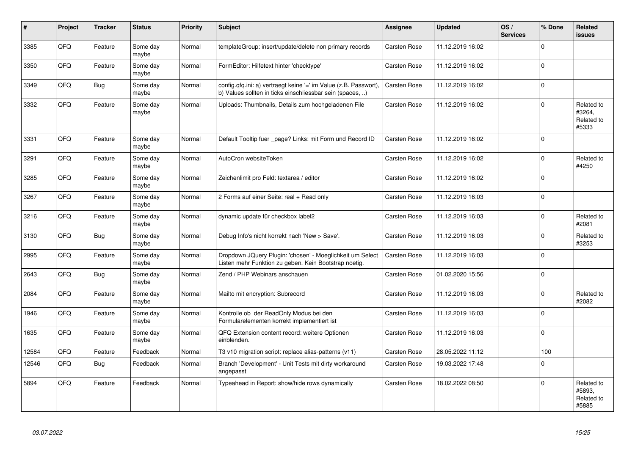| #     | Project | <b>Tracker</b> | <b>Status</b>     | <b>Priority</b> | <b>Subject</b>                                                                                                                | Assignee            | <b>Updated</b>   | OS/<br><b>Services</b> | % Done      | Related<br><b>issues</b>                    |
|-------|---------|----------------|-------------------|-----------------|-------------------------------------------------------------------------------------------------------------------------------|---------------------|------------------|------------------------|-------------|---------------------------------------------|
| 3385  | QFQ     | Feature        | Some day<br>maybe | Normal          | templateGroup: insert/update/delete non primary records                                                                       | Carsten Rose        | 11.12.2019 16:02 |                        | $\Omega$    |                                             |
| 3350  | QFQ     | Feature        | Some day<br>maybe | Normal          | FormEditor: Hilfetext hinter 'checktype'                                                                                      | Carsten Rose        | 11.12.2019 16:02 |                        | $\Omega$    |                                             |
| 3349  | QFQ     | <b>Bug</b>     | Some day<br>maybe | Normal          | config.qfq.ini: a) vertraegt keine '=' im Value (z.B. Passwort),<br>b) Values sollten in ticks einschliessbar sein (spaces, ) | Carsten Rose        | 11.12.2019 16:02 |                        | $\Omega$    |                                             |
| 3332  | QFQ     | Feature        | Some day<br>maybe | Normal          | Uploads: Thumbnails, Details zum hochgeladenen File                                                                           | <b>Carsten Rose</b> | 11.12.2019 16:02 |                        | $\Omega$    | Related to<br>#3264,<br>Related to<br>#5333 |
| 3331  | QFQ     | Feature        | Some day<br>maybe | Normal          | Default Tooltip fuer _page? Links: mit Form und Record ID                                                                     | <b>Carsten Rose</b> | 11.12.2019 16:02 |                        | $\Omega$    |                                             |
| 3291  | QFQ     | Feature        | Some day<br>maybe | Normal          | AutoCron websiteToken                                                                                                         | Carsten Rose        | 11.12.2019 16:02 |                        | $\Omega$    | Related to<br>#4250                         |
| 3285  | QFQ     | Feature        | Some day<br>maybe | Normal          | Zeichenlimit pro Feld: textarea / editor                                                                                      | Carsten Rose        | 11.12.2019 16:02 |                        | $\Omega$    |                                             |
| 3267  | QFQ     | Feature        | Some day<br>maybe | Normal          | 2 Forms auf einer Seite: real + Read only                                                                                     | <b>Carsten Rose</b> | 11.12.2019 16:03 |                        | $\Omega$    |                                             |
| 3216  | QFQ     | Feature        | Some day<br>maybe | Normal          | dynamic update für checkbox label2                                                                                            | Carsten Rose        | 11.12.2019 16:03 |                        | $\Omega$    | Related to<br>#2081                         |
| 3130  | QFQ     | Bug            | Some day<br>maybe | Normal          | Debug Info's nicht korrekt nach 'New > Save'.                                                                                 | Carsten Rose        | 11.12.2019 16:03 |                        | $\Omega$    | Related to<br>#3253                         |
| 2995  | QFQ     | Feature        | Some day<br>maybe | Normal          | Dropdown JQuery Plugin: 'chosen' - Moeglichkeit um Select<br>Listen mehr Funktion zu geben. Kein Bootstrap noetig.            | Carsten Rose        | 11.12.2019 16:03 |                        | $\Omega$    |                                             |
| 2643  | QFQ     | Bug            | Some day<br>maybe | Normal          | Zend / PHP Webinars anschauen                                                                                                 | Carsten Rose        | 01.02.2020 15:56 |                        | $\Omega$    |                                             |
| 2084  | QFQ     | Feature        | Some day<br>maybe | Normal          | Mailto mit encryption: Subrecord                                                                                              | Carsten Rose        | 11.12.2019 16:03 |                        | $\Omega$    | Related to<br>#2082                         |
| 1946  | QFQ     | Feature        | Some day<br>maybe | Normal          | Kontrolle ob der ReadOnly Modus bei den<br>Formularelementen korrekt implementiert ist                                        | Carsten Rose        | 11.12.2019 16:03 |                        | $\Omega$    |                                             |
| 1635  | QFQ     | Feature        | Some day<br>maybe | Normal          | QFQ Extension content record: weitere Optionen<br>einblenden.                                                                 | Carsten Rose        | 11.12.2019 16:03 |                        | $\mathbf 0$ |                                             |
| 12584 | QFQ     | Feature        | Feedback          | Normal          | T3 v10 migration script: replace alias-patterns (v11)                                                                         | Carsten Rose        | 28.05.2022 11:12 |                        | 100         |                                             |
| 12546 | QFQ     | Bug            | Feedback          | Normal          | Branch 'Development' - Unit Tests mit dirty workaround<br>angepasst                                                           | <b>Carsten Rose</b> | 19.03.2022 17:48 |                        | $\Omega$    |                                             |
| 5894  | QFQ     | Feature        | Feedback          | Normal          | Typeahead in Report: show/hide rows dynamically                                                                               | Carsten Rose        | 18.02.2022 08:50 |                        | $\Omega$    | Related to<br>#5893,<br>Related to<br>#5885 |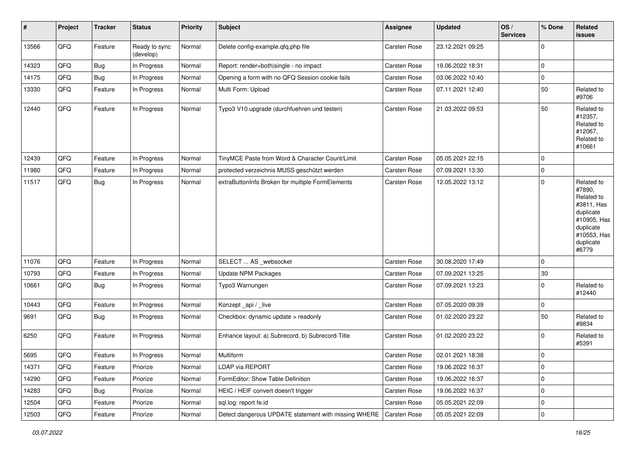| #     | Project | <b>Tracker</b> | <b>Status</b>              | Priority | <b>Subject</b>                                       | Assignee     | <b>Updated</b>   | OS/<br><b>Services</b> | % Done      | Related<br><b>issues</b>                                                                                                       |
|-------|---------|----------------|----------------------------|----------|------------------------------------------------------|--------------|------------------|------------------------|-------------|--------------------------------------------------------------------------------------------------------------------------------|
| 13566 | QFQ     | Feature        | Ready to sync<br>(develop) | Normal   | Delete config-example.qfq.php file                   | Carsten Rose | 23.12.2021 09:25 |                        | $\mathbf 0$ |                                                                                                                                |
| 14323 | QFQ     | Bug            | In Progress                | Normal   | Report: render=both single - no impact               | Carsten Rose | 19.06.2022 18:31 |                        | $\mathbf 0$ |                                                                                                                                |
| 14175 | QFQ     | <b>Bug</b>     | In Progress                | Normal   | Opening a form with no QFQ Session cookie fails      | Carsten Rose | 03.06.2022 10:40 |                        | $\mathbf 0$ |                                                                                                                                |
| 13330 | QFQ     | Feature        | In Progress                | Normal   | Multi Form: Upload                                   | Carsten Rose | 07.11.2021 12:40 |                        | 50          | Related to<br>#9706                                                                                                            |
| 12440 | QFQ     | Feature        | In Progress                | Normal   | Typo3 V10 upgrade (durchfuehren und testen)          | Carsten Rose | 21.03.2022 09:53 |                        | 50          | Related to<br>#12357,<br>Related to<br>#12067,<br>Related to<br>#10661                                                         |
| 12439 | QFQ     | Feature        | In Progress                | Normal   | TinyMCE Paste from Word & Character Count/Limit      | Carsten Rose | 05.05.2021 22:15 |                        | $\mathbf 0$ |                                                                                                                                |
| 11980 | QFQ     | Feature        | In Progress                | Normal   | protected verzeichnis MUSS geschützt werden          | Carsten Rose | 07.09.2021 13:30 |                        | $\mathbf 0$ |                                                                                                                                |
| 11517 | QFQ     | Bug            | In Progress                | Normal   | extraButtonInfo Broken for multiple FormElements     | Carsten Rose | 12.05.2022 13:12 |                        | $\mathbf 0$ | Related to<br>#7890,<br>Related to<br>#3811, Has<br>duplicate<br>#10905, Has<br>duplicate<br>#10553, Has<br>duplicate<br>#6779 |
| 11076 | QFQ     | Feature        | In Progress                | Normal   | SELECT  AS _websocket                                | Carsten Rose | 30.08.2020 17:49 |                        | $\mathbf 0$ |                                                                                                                                |
| 10793 | QFQ     | Feature        | In Progress                | Normal   | <b>Update NPM Packages</b>                           | Carsten Rose | 07.09.2021 13:25 |                        | 30          |                                                                                                                                |
| 10661 | QFQ     | Bug            | In Progress                | Normal   | Typo3 Warnungen                                      | Carsten Rose | 07.09.2021 13:23 |                        | $\mathbf 0$ | Related to<br>#12440                                                                                                           |
| 10443 | QFQ     | Feature        | In Progress                | Normal   | Konzept_api / _live                                  | Carsten Rose | 07.05.2020 09:39 |                        | $\mathbf 0$ |                                                                                                                                |
| 9691  | QFQ     | Bug            | In Progress                | Normal   | Checkbox: dynamic update > readonly                  | Carsten Rose | 01.02.2020 23:22 |                        | 50          | Related to<br>#9834                                                                                                            |
| 6250  | QFQ     | Feature        | In Progress                | Normal   | Enhance layout: a) Subrecord, b) Subrecord-Title     | Carsten Rose | 01.02.2020 23:22 |                        | $\mathbf 0$ | Related to<br>#5391                                                                                                            |
| 5695  | QFQ     | Feature        | In Progress                | Normal   | Multiform                                            | Carsten Rose | 02.01.2021 18:38 |                        | $\mathbf 0$ |                                                                                                                                |
| 14371 | QFQ     | Feature        | Priorize                   | Normal   | LDAP via REPORT                                      | Carsten Rose | 19.06.2022 16:37 |                        | 0           |                                                                                                                                |
| 14290 | QFQ     | Feature        | Priorize                   | Normal   | FormEditor: Show Table Definition                    | Carsten Rose | 19.06.2022 16:37 |                        | $\mathbf 0$ |                                                                                                                                |
| 14283 | QFQ     | <b>Bug</b>     | Priorize                   | Normal   | HEIC / HEIF convert doesn't trigger                  | Carsten Rose | 19.06.2022 16:37 |                        | $\mathbf 0$ |                                                                                                                                |
| 12504 | QFQ     | Feature        | Priorize                   | Normal   | sql.log: report fe.id                                | Carsten Rose | 05.05.2021 22:09 |                        | $\mathbf 0$ |                                                                                                                                |
| 12503 | QFQ     | Feature        | Priorize                   | Normal   | Detect dangerous UPDATE statement with missing WHERE | Carsten Rose | 05.05.2021 22:09 |                        | $\mathbf 0$ |                                                                                                                                |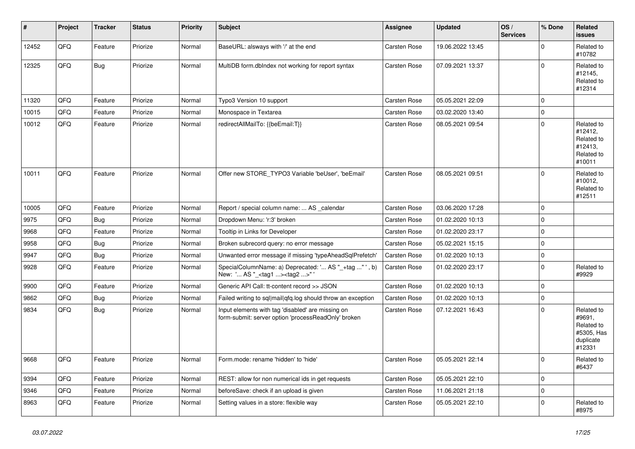| $\vert$ # | Project | <b>Tracker</b> | <b>Status</b> | <b>Priority</b> | <b>Subject</b>                                                                                           | Assignee            | <b>Updated</b>   | OS/<br><b>Services</b> | % Done      | Related<br>issues                                                       |
|-----------|---------|----------------|---------------|-----------------|----------------------------------------------------------------------------------------------------------|---------------------|------------------|------------------------|-------------|-------------------------------------------------------------------------|
| 12452     | QFQ     | Feature        | Priorize      | Normal          | BaseURL: alsways with '/' at the end                                                                     | Carsten Rose        | 19.06.2022 13:45 |                        | $\Omega$    | Related to<br>#10782                                                    |
| 12325     | QFQ     | Bug            | Priorize      | Normal          | MultiDB form.dblndex not working for report syntax                                                       | <b>Carsten Rose</b> | 07.09.2021 13:37 |                        | $\mathbf 0$ | Related to<br>#12145,<br>Related to<br>#12314                           |
| 11320     | QFQ     | Feature        | Priorize      | Normal          | Typo3 Version 10 support                                                                                 | Carsten Rose        | 05.05.2021 22:09 |                        | $\mathbf 0$ |                                                                         |
| 10015     | QFQ     | Feature        | Priorize      | Normal          | Monospace in Textarea                                                                                    | Carsten Rose        | 03.02.2020 13:40 |                        | $\mathbf 0$ |                                                                         |
| 10012     | QFQ     | Feature        | Priorize      | Normal          | redirectAllMailTo: {{beEmail:T}}                                                                         | Carsten Rose        | 08.05.2021 09:54 |                        | $\Omega$    | Related to<br>#12412,<br>Related to<br>#12413,<br>Related to<br>#10011  |
| 10011     | QFQ     | Feature        | Priorize      | Normal          | Offer new STORE TYPO3 Variable 'beUser', 'beEmail'                                                       | Carsten Rose        | 08.05.2021 09:51 |                        | $\mathbf 0$ | Related to<br>#10012,<br>Related to<br>#12511                           |
| 10005     | QFQ     | Feature        | Priorize      | Normal          | Report / special column name:  AS _calendar                                                              | Carsten Rose        | 03.06.2020 17:28 |                        | $\mathbf 0$ |                                                                         |
| 9975      | QFQ     | <b>Bug</b>     | Priorize      | Normal          | Dropdown Menu: 'r:3' broken                                                                              | <b>Carsten Rose</b> | 01.02.2020 10:13 |                        | $\mathbf 0$ |                                                                         |
| 9968      | QFQ     | Feature        | Priorize      | Normal          | Tooltip in Links for Developer                                                                           | Carsten Rose        | 01.02.2020 23:17 |                        | $\pmb{0}$   |                                                                         |
| 9958      | QFQ     | <b>Bug</b>     | Priorize      | Normal          | Broken subrecord query: no error message                                                                 | Carsten Rose        | 05.02.2021 15:15 |                        | $\mathbf 0$ |                                                                         |
| 9947      | QFQ     | <b>Bug</b>     | Priorize      | Normal          | Unwanted error message if missing 'typeAheadSqlPrefetch'                                                 | <b>Carsten Rose</b> | 01.02.2020 10:13 |                        | $\mathbf 0$ |                                                                         |
| 9928      | QFQ     | Feature        | Priorize      | Normal          | SpecialColumnName: a) Deprecated: ' AS "_+tag " ', b)<br>New: ' AS "_ <tag1><tag2>"'</tag2></tag1>       | Carsten Rose        | 01.02.2020 23:17 |                        | $\mathbf 0$ | Related to<br>#9929                                                     |
| 9900      | QFQ     | Feature        | Priorize      | Normal          | Generic API Call: tt-content record >> JSON                                                              | Carsten Rose        | 01.02.2020 10:13 |                        | $\mathbf 0$ |                                                                         |
| 9862      | QFQ     | <b>Bug</b>     | Priorize      | Normal          | Failed writing to sql mail qfq.log should throw an exception                                             | Carsten Rose        | 01.02.2020 10:13 |                        | $\mathbf 0$ |                                                                         |
| 9834      | QFQ     | <b>Bug</b>     | Priorize      | Normal          | Input elements with tag 'disabled' are missing on<br>form-submit: server option 'processReadOnly' broken | Carsten Rose        | 07.12.2021 16:43 |                        | $\mathbf 0$ | Related to<br>#9691,<br>Related to<br>#5305, Has<br>duplicate<br>#12331 |
| 9668      | QFQ     | Feature        | Priorize      | Normal          | Form.mode: rename 'hidden' to 'hide'                                                                     | Carsten Rose        | 05.05.2021 22:14 |                        | $\mathbf 0$ | Related to<br>#6437                                                     |
| 9394      | QFQ     | Feature        | Priorize      | Normal          | REST: allow for non numerical ids in get requests                                                        | Carsten Rose        | 05.05.2021 22:10 |                        | $\mathbf 0$ |                                                                         |
| 9346      | QFQ     | Feature        | Priorize      | Normal          | beforeSave: check if an upload is given                                                                  | Carsten Rose        | 11.06.2021 21:18 |                        | $\mathbf 0$ |                                                                         |
| 8963      | QFQ     | Feature        | Priorize      | Normal          | Setting values in a store: flexible way                                                                  | Carsten Rose        | 05.05.2021 22:10 |                        | $\mathbf 0$ | Related to<br>#8975                                                     |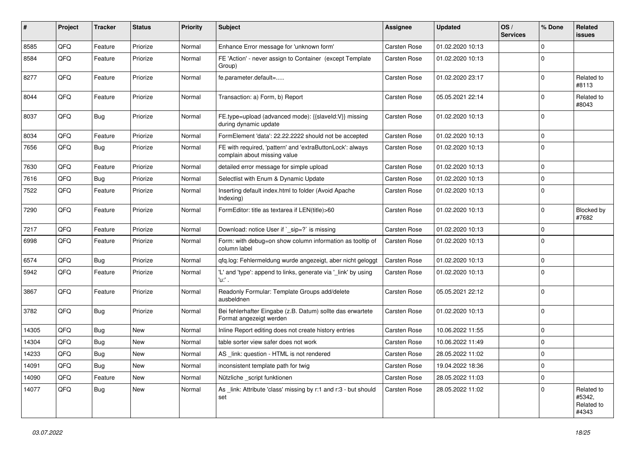| #     | Project | <b>Tracker</b> | <b>Status</b> | <b>Priority</b> | <b>Subject</b>                                                                            | <b>Assignee</b>     | <b>Updated</b>   | OS/<br><b>Services</b> | % Done      | Related<br>issues                           |
|-------|---------|----------------|---------------|-----------------|-------------------------------------------------------------------------------------------|---------------------|------------------|------------------------|-------------|---------------------------------------------|
| 8585  | QFQ     | Feature        | Priorize      | Normal          | Enhance Error message for 'unknown form'                                                  | Carsten Rose        | 01.02.2020 10:13 |                        | $\Omega$    |                                             |
| 8584  | QFQ     | Feature        | Priorize      | Normal          | FE 'Action' - never assign to Container (except Template)<br>Group)                       | <b>Carsten Rose</b> | 01.02.2020 10:13 |                        | $\Omega$    |                                             |
| 8277  | QFQ     | Feature        | Priorize      | Normal          | fe.parameter.default=                                                                     | <b>Carsten Rose</b> | 01.02.2020 23:17 |                        | 0           | Related to<br>#8113                         |
| 8044  | QFQ     | Feature        | Priorize      | Normal          | Transaction: a) Form, b) Report                                                           | <b>Carsten Rose</b> | 05.05.2021 22:14 |                        | $\Omega$    | Related to<br>#8043                         |
| 8037  | QFQ     | Bug            | Priorize      | Normal          | FE.type=upload (advanced mode): {{slaveld:V}} missing<br>during dynamic update            | Carsten Rose        | 01.02.2020 10:13 |                        | $\Omega$    |                                             |
| 8034  | QFQ     | Feature        | Priorize      | Normal          | FormElement 'data': 22.22.2222 should not be accepted                                     | <b>Carsten Rose</b> | 01.02.2020 10:13 |                        | $\Omega$    |                                             |
| 7656  | QFQ     | Bug            | Priorize      | Normal          | FE with required, 'pattern' and 'extraButtonLock': always<br>complain about missing value | <b>Carsten Rose</b> | 01.02.2020 10:13 |                        | $\mathbf 0$ |                                             |
| 7630  | QFQ     | Feature        | Priorize      | Normal          | detailed error message for simple upload                                                  | <b>Carsten Rose</b> | 01.02.2020 10:13 |                        | $\Omega$    |                                             |
| 7616  | QFQ     | Bug            | Priorize      | Normal          | Selectlist with Enum & Dynamic Update                                                     | Carsten Rose        | 01.02.2020 10:13 |                        | $\Omega$    |                                             |
| 7522  | QFQ     | Feature        | Priorize      | Normal          | Inserting default index.html to folder (Avoid Apache<br>Indexing)                         | Carsten Rose        | 01.02.2020 10:13 |                        | $\mathbf 0$ |                                             |
| 7290  | QFQ     | Feature        | Priorize      | Normal          | FormEditor: title as textarea if LEN(title)>60                                            | <b>Carsten Rose</b> | 01.02.2020 10:13 |                        | $\Omega$    | Blocked by<br>#7682                         |
| 7217  | QFQ     | Feature        | Priorize      | Normal          | Download: notice User if `_sip=?` is missing                                              | <b>Carsten Rose</b> | 01.02.2020 10:13 |                        | 0           |                                             |
| 6998  | QFQ     | Feature        | Priorize      | Normal          | Form: with debug=on show column information as tooltip of<br>column label                 | <b>Carsten Rose</b> | 01.02.2020 10:13 |                        | $\Omega$    |                                             |
| 6574  | QFQ     | Bug            | Priorize      | Normal          | qfq.log: Fehlermeldung wurde angezeigt, aber nicht geloggt                                | Carsten Rose        | 01.02.2020 10:13 |                        | $\mathbf 0$ |                                             |
| 5942  | QFQ     | Feature        | Priorize      | Normal          | 'L' and 'type': append to links, generate via '_link' by using<br>'u:' .                  | <b>Carsten Rose</b> | 01.02.2020 10:13 |                        | $\mathbf 0$ |                                             |
| 3867  | QFQ     | Feature        | Priorize      | Normal          | Readonly Formular: Template Groups add/delete<br>ausbeldnen                               | Carsten Rose        | 05.05.2021 22:12 |                        | $\Omega$    |                                             |
| 3782  | QFQ     | Bug            | Priorize      | Normal          | Bei fehlerhafter Eingabe (z.B. Datum) sollte das erwartete<br>Format angezeigt werden     | Carsten Rose        | 01.02.2020 10:13 |                        | $\Omega$    |                                             |
| 14305 | QFQ     | Bug            | New           | Normal          | Inline Report editing does not create history entries                                     | Carsten Rose        | 10.06.2022 11:55 |                        | $\mathbf 0$ |                                             |
| 14304 | QFQ     | <b>Bug</b>     | <b>New</b>    | Normal          | table sorter view safer does not work                                                     | Carsten Rose        | 10.06.2022 11:49 |                        | $\mathbf 0$ |                                             |
| 14233 | QFQ     | <b>Bug</b>     | New           | Normal          | AS _link: question - HTML is not rendered                                                 | Carsten Rose        | 28.05.2022 11:02 |                        | $\Omega$    |                                             |
| 14091 | QFQ     | <b>Bug</b>     | New           | Normal          | inconsistent template path for twig                                                       | Carsten Rose        | 19.04.2022 18:36 |                        | $\mathbf 0$ |                                             |
| 14090 | QFQ     | Feature        | New           | Normal          | Nützliche _script funktionen                                                              | Carsten Rose        | 28.05.2022 11:03 |                        | $\mathbf 0$ |                                             |
| 14077 | QFQ     | <b>Bug</b>     | New           | Normal          | As _link: Attribute 'class' missing by r:1 and r:3 - but should<br>set                    | Carsten Rose        | 28.05.2022 11:02 |                        | 0           | Related to<br>#5342,<br>Related to<br>#4343 |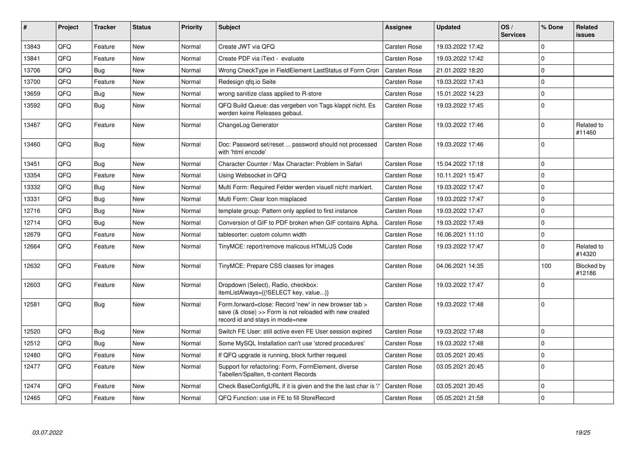| #     | Project | <b>Tracker</b> | <b>Status</b> | <b>Priority</b> | <b>Subject</b>                                                                                                                                      | <b>Assignee</b>     | <b>Updated</b>   | OS/<br><b>Services</b> | % Done         | Related<br>issues    |
|-------|---------|----------------|---------------|-----------------|-----------------------------------------------------------------------------------------------------------------------------------------------------|---------------------|------------------|------------------------|----------------|----------------------|
| 13843 | QFQ     | Feature        | <b>New</b>    | Normal          | Create JWT via QFQ                                                                                                                                  | <b>Carsten Rose</b> | 19.03.2022 17:42 |                        | $\Omega$       |                      |
| 13841 | QFQ     | Feature        | <b>New</b>    | Normal          | Create PDF via iText - evaluate                                                                                                                     | <b>Carsten Rose</b> | 19.03.2022 17:42 |                        | 0              |                      |
| 13706 | QFQ     | <b>Bug</b>     | <b>New</b>    | Normal          | Wrong CheckType in FieldElement LastStatus of Form Cron                                                                                             | <b>Carsten Rose</b> | 21.01.2022 18:20 |                        | $\Omega$       |                      |
| 13700 | QFQ     | Feature        | <b>New</b>    | Normal          | Redesign gfg.io Seite                                                                                                                               | <b>Carsten Rose</b> | 19.03.2022 17:43 |                        | $\mathbf 0$    |                      |
| 13659 | QFQ     | Bug            | <b>New</b>    | Normal          | wrong sanitize class applied to R-store                                                                                                             | <b>Carsten Rose</b> | 15.01.2022 14:23 |                        | 0 I            |                      |
| 13592 | QFQ     | Bug            | <b>New</b>    | Normal          | QFQ Build Queue: das vergeben von Tags klappt nicht. Es<br>werden keine Releases gebaut.                                                            | <b>Carsten Rose</b> | 19.03.2022 17:45 |                        | $\Omega$       |                      |
| 13467 | QFQ     | Feature        | <b>New</b>    | Normal          | ChangeLog Generator                                                                                                                                 | <b>Carsten Rose</b> | 19.03.2022 17:46 |                        | 0              | Related to<br>#11460 |
| 13460 | QFQ     | Bug            | <b>New</b>    | Normal          | Doc: Password set/reset  password should not processed<br>with 'html encode'                                                                        | <b>Carsten Rose</b> | 19.03.2022 17:46 |                        | 0              |                      |
| 13451 | QFQ     | Bug            | <b>New</b>    | Normal          | Character Counter / Max Character: Problem in Safari                                                                                                | Carsten Rose        | 15.04.2022 17:18 |                        | $\overline{0}$ |                      |
| 13354 | QFQ     | Feature        | <b>New</b>    | Normal          | Using Websocket in QFQ                                                                                                                              | <b>Carsten Rose</b> | 10.11.2021 15:47 |                        | $\Omega$       |                      |
| 13332 | QFQ     | Bug            | <b>New</b>    | Normal          | Multi Form: Required Felder werden visuell nicht markiert.                                                                                          | <b>Carsten Rose</b> | 19.03.2022 17:47 |                        | $\mathbf 0$    |                      |
| 13331 | QFQ     | Bug            | <b>New</b>    | Normal          | Multi Form: Clear Icon misplaced                                                                                                                    | <b>Carsten Rose</b> | 19.03.2022 17:47 |                        | 0              |                      |
| 12716 | QFQ     | Bug            | <b>New</b>    | Normal          | template group: Pattern only applied to first instance                                                                                              | <b>Carsten Rose</b> | 19.03.2022 17:47 |                        | $\Omega$       |                      |
| 12714 | QFQ     | Bug            | New           | Normal          | Conversion of GIF to PDF broken when GIF contains Alpha.                                                                                            | <b>Carsten Rose</b> | 19.03.2022 17:49 |                        | $\overline{0}$ |                      |
| 12679 | QFQ     | Feature        | <b>New</b>    | Normal          | tablesorter: custom column width                                                                                                                    | <b>Carsten Rose</b> | 16.06.2021 11:10 |                        | $\mathbf 0$    |                      |
| 12664 | QFQ     | Feature        | New           | Normal          | TinyMCE: report/remove malicous HTML/JS Code                                                                                                        | <b>Carsten Rose</b> | 19.03.2022 17:47 |                        | $\Omega$       | Related to<br>#14320 |
| 12632 | QFQ     | Feature        | <b>New</b>    | Normal          | TinyMCE: Prepare CSS classes for images                                                                                                             | <b>Carsten Rose</b> | 04.06.2021 14:35 |                        | 100            | Blocked by<br>#12186 |
| 12603 | QFQ     | Feature        | <b>New</b>    | Normal          | Dropdown (Select), Radio, checkbox:<br>itemListAlways={{!SELECT key, value}}                                                                        | <b>Carsten Rose</b> | 19.03.2022 17:47 |                        | 0              |                      |
| 12581 | QFQ     | Bug            | <b>New</b>    | Normal          | Form.forward=close: Record 'new' in new browser tab ><br>save (& close) >> Form is not reloaded with new created<br>record id and stays in mode=new | <b>Carsten Rose</b> | 19.03.2022 17:48 |                        | 0              |                      |
| 12520 | QFQ     | Bug            | <b>New</b>    | Normal          | Switch FE User: still active even FE User session expired                                                                                           | <b>Carsten Rose</b> | 19.03.2022 17:48 |                        | $\Omega$       |                      |
| 12512 | QFQ     | <b>Bug</b>     | <b>New</b>    | Normal          | Some MySQL Installation can't use 'stored procedures'                                                                                               | <b>Carsten Rose</b> | 19.03.2022 17:48 |                        | $\overline{0}$ |                      |
| 12480 | QFQ     | Feature        | <b>New</b>    | Normal          | If QFQ upgrade is running, block further request                                                                                                    | <b>Carsten Rose</b> | 03.05.2021 20:45 |                        | $\Omega$       |                      |
| 12477 | QFQ     | Feature        | <b>New</b>    | Normal          | Support for refactoring: Form, FormElement, diverse<br>Tabellen/Spalten, tt-content Records                                                         | Carsten Rose        | 03.05.2021 20:45 |                        | $\Omega$       |                      |
| 12474 | QFQ     | Feature        | New           | Normal          | Check BaseConfigURL if it is given and the the last char is '/                                                                                      | <b>Carsten Rose</b> | 03.05.2021 20:45 |                        | $\Omega$       |                      |
| 12465 | QFQ     | Feature        | New           | Normal          | QFQ Function: use in FE to fill StoreRecord                                                                                                         | <b>Carsten Rose</b> | 05.05.2021 21:58 |                        | $\Omega$       |                      |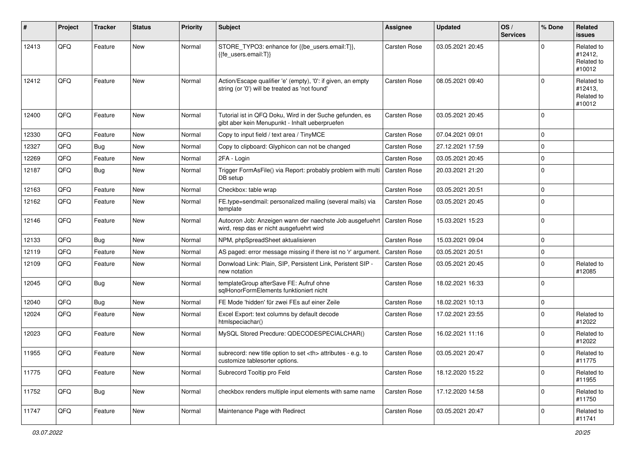| #     | Project | <b>Tracker</b> | <b>Status</b> | <b>Priority</b> | Subject                                                                                                        | <b>Assignee</b>     | <b>Updated</b>   | OS/<br><b>Services</b> | % Done      | Related<br><b>issues</b>                      |
|-------|---------|----------------|---------------|-----------------|----------------------------------------------------------------------------------------------------------------|---------------------|------------------|------------------------|-------------|-----------------------------------------------|
| 12413 | QFQ     | Feature        | <b>New</b>    | Normal          | STORE_TYPO3: enhance for {{be_users.email:T}},<br>{fe users.email:T}}                                          | Carsten Rose        | 03.05.2021 20:45 |                        | $\Omega$    | Related to<br>#12412,<br>Related to<br>#10012 |
| 12412 | QFQ     | Feature        | New           | Normal          | Action/Escape qualifier 'e' (empty), '0': if given, an empty<br>string (or '0') will be treated as 'not found' | Carsten Rose        | 08.05.2021 09:40 |                        | $\mathbf 0$ | Related to<br>#12413,<br>Related to<br>#10012 |
| 12400 | QFQ     | Feature        | New           | Normal          | Tutorial ist in QFQ Doku, Wird in der Suche gefunden, es<br>gibt aber kein Menupunkt - Inhalt ueberpruefen     | Carsten Rose        | 03.05.2021 20:45 |                        | $\Omega$    |                                               |
| 12330 | QFQ     | Feature        | <b>New</b>    | Normal          | Copy to input field / text area / TinyMCE                                                                      | Carsten Rose        | 07.04.2021 09:01 |                        | $\mathbf 0$ |                                               |
| 12327 | QFQ     | Bug            | <b>New</b>    | Normal          | Copy to clipboard: Glyphicon can not be changed                                                                | Carsten Rose        | 27.12.2021 17:59 |                        | $\mathbf 0$ |                                               |
| 12269 | QFQ     | Feature        | <b>New</b>    | Normal          | 2FA - Login                                                                                                    | Carsten Rose        | 03.05.2021 20:45 |                        | $\mathbf 0$ |                                               |
| 12187 | QFQ     | Bug            | New           | Normal          | Trigger FormAsFile() via Report: probably problem with multi<br>DB setup                                       | Carsten Rose        | 20.03.2021 21:20 |                        | $\mathbf 0$ |                                               |
| 12163 | QFQ     | Feature        | <b>New</b>    | Normal          | Checkbox: table wrap                                                                                           | Carsten Rose        | 03.05.2021 20:51 |                        | $\mathbf 0$ |                                               |
| 12162 | QFQ     | Feature        | New           | Normal          | FE.type=sendmail: personalized mailing (several mails) via<br>template                                         | <b>Carsten Rose</b> | 03.05.2021 20:45 |                        | $\mathbf 0$ |                                               |
| 12146 | QFQ     | Feature        | <b>New</b>    | Normal          | Autocron Job: Anzeigen wann der naechste Job ausgefuehrt<br>wird, resp das er nicht ausgefuehrt wird           | <b>Carsten Rose</b> | 15.03.2021 15:23 |                        | $\Omega$    |                                               |
| 12133 | QFQ     | Bug            | New           | Normal          | NPM, phpSpreadSheet aktualisieren                                                                              | Carsten Rose        | 15.03.2021 09:04 |                        | $\mathbf 0$ |                                               |
| 12119 | QFQ     | Feature        | <b>New</b>    | Normal          | AS paged: error message missing if there ist no 'r' argument.                                                  | Carsten Rose        | 03.05.2021 20:51 |                        | $\mathbf 0$ |                                               |
| 12109 | QFQ     | Feature        | <b>New</b>    | Normal          | Donwload Link: Plain, SIP, Persistent Link, Peristent SIP -<br>new notation                                    | Carsten Rose        | 03.05.2021 20:45 |                        | $\mathbf 0$ | Related to<br>#12085                          |
| 12045 | QFQ     | Bug            | New           | Normal          | templateGroup afterSave FE: Aufruf ohne<br>sglHonorFormElements funktioniert nicht                             | Carsten Rose        | 18.02.2021 16:33 |                        | $\mathbf 0$ |                                               |
| 12040 | QFQ     | Bug            | <b>New</b>    | Normal          | FE Mode 'hidden' für zwei FEs auf einer Zeile                                                                  | Carsten Rose        | 18.02.2021 10:13 |                        | 0           |                                               |
| 12024 | QFQ     | Feature        | New           | Normal          | Excel Export: text columns by default decode<br>htmlspeciachar()                                               | <b>Carsten Rose</b> | 17.02.2021 23:55 |                        | $\Omega$    | Related to<br>#12022                          |
| 12023 | QFQ     | Feature        | <b>New</b>    | Normal          | MySQL Stored Precdure: QDECODESPECIALCHAR()                                                                    | Carsten Rose        | 16.02.2021 11:16 |                        | $\Omega$    | Related to<br>#12022                          |
| 11955 | QFQ     | Feature        | <b>New</b>    | Normal          | subrecord: new title option to set $\langle$ th attributes - e.g. to<br>customize tablesorter options.         | Carsten Rose        | 03.05.2021 20:47 |                        | $\mathbf 0$ | Related to<br>#11775                          |
| 11775 | QFQ     | Feature        | New           | Normal          | Subrecord Tooltip pro Feld                                                                                     | Carsten Rose        | 18.12.2020 15:22 |                        | 0           | Related to<br>#11955                          |
| 11752 | QFQ     | <b>Bug</b>     | New           | Normal          | checkbox renders multiple input elements with same name                                                        | Carsten Rose        | 17.12.2020 14:58 |                        | $\mathbf 0$ | Related to<br>#11750                          |
| 11747 | QFG     | Feature        | New           | Normal          | Maintenance Page with Redirect                                                                                 | Carsten Rose        | 03.05.2021 20:47 |                        | 0           | Related to<br>#11741                          |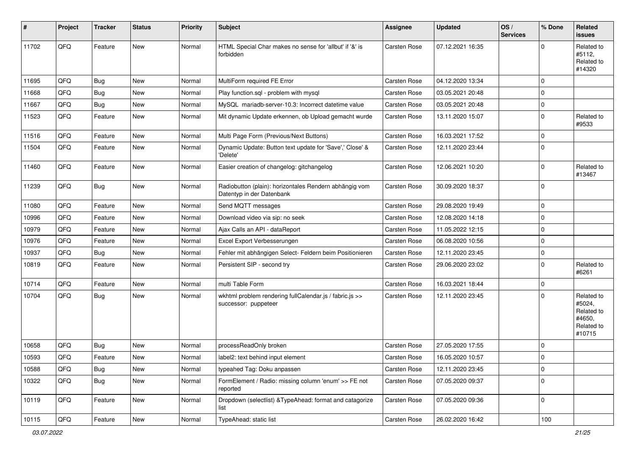| ∦     | Project | <b>Tracker</b> | <b>Status</b> | <b>Priority</b> | <b>Subject</b>                                                                      | <b>Assignee</b>     | <b>Updated</b>   | OS/<br><b>Services</b> | % Done      | Related<br><b>issues</b>                                             |
|-------|---------|----------------|---------------|-----------------|-------------------------------------------------------------------------------------|---------------------|------------------|------------------------|-------------|----------------------------------------------------------------------|
| 11702 | QFQ     | Feature        | New           | Normal          | HTML Special Char makes no sense for 'allbut' if '&' is<br>forbidden                | <b>Carsten Rose</b> | 07.12.2021 16:35 |                        | $\Omega$    | Related to<br>#5112,<br>Related to<br>#14320                         |
| 11695 | QFQ     | Bug            | <b>New</b>    | Normal          | MultiForm required FE Error                                                         | Carsten Rose        | 04.12.2020 13:34 |                        | $\Omega$    |                                                                      |
| 11668 | QFQ     | <b>Bug</b>     | <b>New</b>    | Normal          | Play function.sql - problem with mysql                                              | Carsten Rose        | 03.05.2021 20:48 |                        | $\Omega$    |                                                                      |
| 11667 | QFQ     | Bug            | New           | Normal          | MySQL mariadb-server-10.3: Incorrect datetime value                                 | Carsten Rose        | 03.05.2021 20:48 |                        | $\mathbf 0$ |                                                                      |
| 11523 | QFQ     | Feature        | <b>New</b>    | Normal          | Mit dynamic Update erkennen, ob Upload gemacht wurde                                | Carsten Rose        | 13.11.2020 15:07 |                        | 0           | Related to<br>#9533                                                  |
| 11516 | QFQ     | Feature        | <b>New</b>    | Normal          | Multi Page Form (Previous/Next Buttons)                                             | Carsten Rose        | 16.03.2021 17:52 |                        | $\mathbf 0$ |                                                                      |
| 11504 | QFQ     | Feature        | New           | Normal          | Dynamic Update: Button text update for 'Save',' Close' &<br>'Delete'                | Carsten Rose        | 12.11.2020 23:44 |                        | $\Omega$    |                                                                      |
| 11460 | QFQ     | Feature        | <b>New</b>    | Normal          | Easier creation of changelog: gitchangelog                                          | Carsten Rose        | 12.06.2021 10:20 |                        | $\Omega$    | Related to<br>#13467                                                 |
| 11239 | QFQ     | Bug            | New           | Normal          | Radiobutton (plain): horizontales Rendern abhängig vom<br>Datentyp in der Datenbank | Carsten Rose        | 30.09.2020 18:37 |                        | $\Omega$    |                                                                      |
| 11080 | QFQ     | Feature        | <b>New</b>    | Normal          | Send MQTT messages                                                                  | Carsten Rose        | 29.08.2020 19:49 |                        | $\mathbf 0$ |                                                                      |
| 10996 | QFQ     | Feature        | <b>New</b>    | Normal          | Download video via sip: no seek                                                     | <b>Carsten Rose</b> | 12.08.2020 14:18 |                        | $\mathbf 0$ |                                                                      |
| 10979 | QFQ     | Feature        | New           | Normal          | Ajax Calls an API - dataReport                                                      | Carsten Rose        | 11.05.2022 12:15 |                        | $\mathbf 0$ |                                                                      |
| 10976 | QFQ     | Feature        | <b>New</b>    | Normal          | Excel Export Verbesserungen                                                         | <b>Carsten Rose</b> | 06.08.2020 10:56 |                        | $\Omega$    |                                                                      |
| 10937 | QFQ     | Bug            | <b>New</b>    | Normal          | Fehler mit abhängigen Select- Feldern beim Positionieren                            | Carsten Rose        | 12.11.2020 23:45 |                        | 0           |                                                                      |
| 10819 | QFQ     | Feature        | New           | Normal          | Persistent SIP - second try                                                         | <b>Carsten Rose</b> | 29.06.2020 23:02 |                        | $\mathbf 0$ | Related to<br>#6261                                                  |
| 10714 | QFQ     | Feature        | <b>New</b>    | Normal          | multi Table Form                                                                    | Carsten Rose        | 16.03.2021 18:44 |                        | $\mathbf 0$ |                                                                      |
| 10704 | QFQ     | Bug            | New           | Normal          | wkhtml problem rendering fullCalendar.js / fabric.js >><br>successor: puppeteer     | Carsten Rose        | 12.11.2020 23:45 |                        | $\mathbf 0$ | Related to<br>#5024,<br>Related to<br>#4650,<br>Related to<br>#10715 |
| 10658 | QFQ     | Bug            | New           | Normal          | processReadOnly broken                                                              | Carsten Rose        | 27.05.2020 17:55 |                        | $\Omega$    |                                                                      |
| 10593 | QFG     | Feature        | New           | Normal          | label2: text behind input element                                                   | Carsten Rose        | 16.05.2020 10:57 |                        | $\mathbf 0$ |                                                                      |
| 10588 | QFQ     | Bug            | New           | Normal          | typeahed Tag: Doku anpassen                                                         | <b>Carsten Rose</b> | 12.11.2020 23:45 |                        | $\mathbf 0$ |                                                                      |
| 10322 | QFQ     | <b>Bug</b>     | New           | Normal          | FormElement / Radio: missing column 'enum' >> FE not<br>reported                    | Carsten Rose        | 07.05.2020 09:37 |                        | 0           |                                                                      |
| 10119 | QFQ     | Feature        | New           | Normal          | Dropdown (selectlist) & TypeAhead: format and catagorize<br>list                    | <b>Carsten Rose</b> | 07.05.2020 09:36 |                        | 0           |                                                                      |
| 10115 | QFG     | Feature        | New           | Normal          | TypeAhead: static list                                                              | Carsten Rose        | 26.02.2020 16:42 |                        | 100         |                                                                      |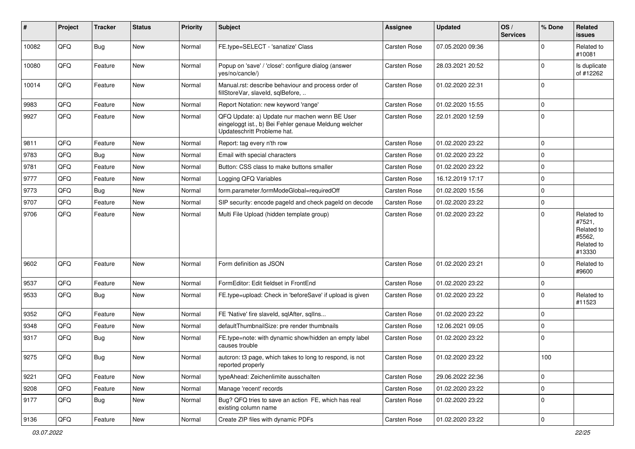| #     | Project | <b>Tracker</b> | <b>Status</b> | <b>Priority</b> | Subject                                                                                                                               | <b>Assignee</b>     | <b>Updated</b>   | OS/<br><b>Services</b> | % Done      | Related<br>issues                                                    |
|-------|---------|----------------|---------------|-----------------|---------------------------------------------------------------------------------------------------------------------------------------|---------------------|------------------|------------------------|-------------|----------------------------------------------------------------------|
| 10082 | QFQ     | <b>Bug</b>     | New           | Normal          | FE.type=SELECT - 'sanatize' Class                                                                                                     | <b>Carsten Rose</b> | 07.05.2020 09:36 |                        | $\Omega$    | Related to<br>#10081                                                 |
| 10080 | QFQ     | Feature        | <b>New</b>    | Normal          | Popup on 'save' / 'close': configure dialog (answer<br>yes/no/cancle/)                                                                | <b>Carsten Rose</b> | 28.03.2021 20:52 |                        | $\Omega$    | Is duplicate<br>of #12262                                            |
| 10014 | QFQ     | Feature        | New           | Normal          | Manual.rst: describe behaviour and process order of<br>fillStoreVar, slaveId, sqlBefore,                                              | <b>Carsten Rose</b> | 01.02.2020 22:31 |                        | $\Omega$    |                                                                      |
| 9983  | QFQ     | Feature        | <b>New</b>    | Normal          | Report Notation: new keyword 'range'                                                                                                  | <b>Carsten Rose</b> | 01.02.2020 15:55 |                        | $\mathbf 0$ |                                                                      |
| 9927  | QFQ     | Feature        | <b>New</b>    | Normal          | QFQ Update: a) Update nur machen wenn BE User<br>eingeloggt ist., b) Bei Fehler genaue Meldung welcher<br>Updateschritt Probleme hat. | <b>Carsten Rose</b> | 22.01.2020 12:59 |                        | $\Omega$    |                                                                      |
| 9811  | QFQ     | Feature        | <b>New</b>    | Normal          | Report: tag every n'th row                                                                                                            | <b>Carsten Rose</b> | 01.02.2020 23:22 |                        | $\mathbf 0$ |                                                                      |
| 9783  | QFQ     | Bug            | New           | Normal          | Email with special characters                                                                                                         | <b>Carsten Rose</b> | 01.02.2020 23:22 |                        | 0           |                                                                      |
| 9781  | QFQ     | Feature        | New           | Normal          | Button: CSS class to make buttons smaller                                                                                             | <b>Carsten Rose</b> | 01.02.2020 23:22 |                        | $\Omega$    |                                                                      |
| 9777  | QFQ     | Feature        | <b>New</b>    | Normal          | Logging QFQ Variables                                                                                                                 | <b>Carsten Rose</b> | 16.12.2019 17:17 |                        | $\Omega$    |                                                                      |
| 9773  | QFQ     | Bug            | <b>New</b>    | Normal          | form.parameter.formModeGlobal=requiredOff                                                                                             | <b>Carsten Rose</b> | 01.02.2020 15:56 |                        | $\mathbf 0$ |                                                                      |
| 9707  | QFQ     | Feature        | <b>New</b>    | Normal          | SIP security: encode pageld and check pageld on decode                                                                                | <b>Carsten Rose</b> | 01.02.2020 23:22 |                        | $\mathbf 0$ |                                                                      |
| 9706  | QFQ     | Feature        | New           | Normal          | Multi File Upload (hidden template group)                                                                                             | <b>Carsten Rose</b> | 01.02.2020 23:22 |                        | $\Omega$    | Related to<br>#7521,<br>Related to<br>#5562,<br>Related to<br>#13330 |
| 9602  | QFQ     | Feature        | <b>New</b>    | Normal          | Form definition as JSON                                                                                                               | <b>Carsten Rose</b> | 01.02.2020 23:21 |                        | $\Omega$    | Related to<br>#9600                                                  |
| 9537  | QFQ     | Feature        | <b>New</b>    | Normal          | FormEditor: Edit fieldset in FrontEnd                                                                                                 | Carsten Rose        | 01.02.2020 23:22 |                        | 0           |                                                                      |
| 9533  | QFQ     | Bug            | New           | Normal          | FE.type=upload: Check in 'beforeSave' if upload is given                                                                              | <b>Carsten Rose</b> | 01.02.2020 23:22 |                        | $\Omega$    | Related to<br>#11523                                                 |
| 9352  | QFQ     | Feature        | <b>New</b>    | Normal          | FE 'Native' fire slaveld, sqlAfter, sqlIns                                                                                            | <b>Carsten Rose</b> | 01.02.2020 23:22 |                        | $\mathbf 0$ |                                                                      |
| 9348  | QFQ     | Feature        | New           | Normal          | defaultThumbnailSize: pre render thumbnails                                                                                           | <b>Carsten Rose</b> | 12.06.2021 09:05 |                        | $\mathbf 0$ |                                                                      |
| 9317  | QFQ     | Bug            | <b>New</b>    | Normal          | FE.type=note: with dynamic show/hidden an empty label<br>causes trouble                                                               | <b>Carsten Rose</b> | 01.02.2020 23:22 |                        | $\Omega$    |                                                                      |
| 9275  | QFQ     | <b>Bug</b>     | New           | Normal          | autcron: t3 page, which takes to long to respond, is not<br>reported properly                                                         | <b>Carsten Rose</b> | 01.02.2020 23:22 |                        | 100         |                                                                      |
| 9221  | QFQ     | Feature        | New           | Normal          | typeAhead: Zeichenlimite ausschalten                                                                                                  | <b>Carsten Rose</b> | 29.06.2022 22:36 |                        | $\mathbf 0$ |                                                                      |
| 9208  | QFQ     | Feature        | New           | Normal          | Manage 'recent' records                                                                                                               | Carsten Rose        | 01.02.2020 23:22 |                        | $\mathbf 0$ |                                                                      |
| 9177  | QFQ     | Bug            | New           | Normal          | Bug? QFQ tries to save an action FE, which has real<br>existing column name                                                           | <b>Carsten Rose</b> | 01.02.2020 23:22 |                        | $\Omega$    |                                                                      |
| 9136  | QFQ     | Feature        | New           | Normal          | Create ZIP files with dynamic PDFs                                                                                                    | Carsten Rose        | 01.02.2020 23:22 |                        | 0           |                                                                      |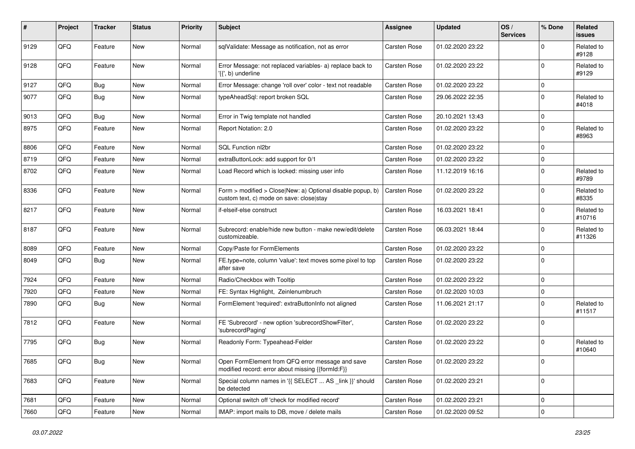| #    | Project | <b>Tracker</b> | <b>Status</b> | <b>Priority</b> | Subject                                                                                                | Assignee            | <b>Updated</b>   | OS/<br><b>Services</b> | % Done      | Related<br><b>issues</b> |
|------|---------|----------------|---------------|-----------------|--------------------------------------------------------------------------------------------------------|---------------------|------------------|------------------------|-------------|--------------------------|
| 9129 | QFQ     | Feature        | New           | Normal          | sqlValidate: Message as notification, not as error                                                     | Carsten Rose        | 01.02.2020 23:22 |                        | $\Omega$    | Related to<br>#9128      |
| 9128 | QFQ     | Feature        | New           | Normal          | Error Message: not replaced variables- a) replace back to<br>'{{', b) underline                        | <b>Carsten Rose</b> | 01.02.2020 23:22 |                        | $\Omega$    | Related to<br>#9129      |
| 9127 | QFQ     | Bug            | New           | Normal          | Error Message: change 'roll over' color - text not readable                                            | Carsten Rose        | 01.02.2020 23:22 |                        | $\Omega$    |                          |
| 9077 | QFQ     | Bug            | New           | Normal          | typeAheadSql: report broken SQL                                                                        | <b>Carsten Rose</b> | 29.06.2022 22:35 |                        | $\Omega$    | Related to<br>#4018      |
| 9013 | QFQ     | Bug            | New           | Normal          | Error in Twig template not handled                                                                     | Carsten Rose        | 20.10.2021 13:43 |                        | $\mathbf 0$ |                          |
| 8975 | QFQ     | Feature        | <b>New</b>    | Normal          | Report Notation: 2.0                                                                                   | <b>Carsten Rose</b> | 01.02.2020 23:22 |                        | $\Omega$    | Related to<br>#8963      |
| 8806 | QFQ     | Feature        | <b>New</b>    | Normal          | SQL Function nl2br                                                                                     | <b>Carsten Rose</b> | 01.02.2020 23:22 |                        | $\mathbf 0$ |                          |
| 8719 | QFQ     | Feature        | <b>New</b>    | Normal          | extraButtonLock: add support for 0/1                                                                   | <b>Carsten Rose</b> | 01.02.2020 23:22 |                        | $\mathbf 0$ |                          |
| 8702 | QFQ     | Feature        | <b>New</b>    | Normal          | Load Record which is locked: missing user info                                                         | <b>Carsten Rose</b> | 11.12.2019 16:16 |                        | $\Omega$    | Related to<br>#9789      |
| 8336 | QFQ     | Feature        | New           | Normal          | Form > modified > Close New: a) Optional disable popup, b)<br>custom text, c) mode on save: closelstay | <b>Carsten Rose</b> | 01.02.2020 23:22 |                        | $\mathbf 0$ | Related to<br>#8335      |
| 8217 | QFQ     | Feature        | <b>New</b>    | Normal          | if-elseif-else construct                                                                               | <b>Carsten Rose</b> | 16.03.2021 18:41 |                        | $\Omega$    | Related to<br>#10716     |
| 8187 | QFQ     | Feature        | <b>New</b>    | Normal          | Subrecord: enable/hide new button - make new/edit/delete<br>customizeable.                             | <b>Carsten Rose</b> | 06.03.2021 18:44 |                        | $\Omega$    | Related to<br>#11326     |
| 8089 | QFQ     | Feature        | New           | Normal          | Copy/Paste for FormElements                                                                            | <b>Carsten Rose</b> | 01.02.2020 23:22 |                        | $\mathbf 0$ |                          |
| 8049 | QFQ     | Bug            | <b>New</b>    | Normal          | FE.type=note, column 'value': text moves some pixel to top<br>after save                               | <b>Carsten Rose</b> | 01.02.2020 23:22 |                        | $\mathbf 0$ |                          |
| 7924 | QFQ     | Feature        | <b>New</b>    | Normal          | Radio/Checkbox with Tooltip                                                                            | <b>Carsten Rose</b> | 01.02.2020 23:22 |                        | $\mathbf 0$ |                          |
| 7920 | QFQ     | Feature        | New           | Normal          | FE: Syntax Highlight, Zeinlenumbruch                                                                   | <b>Carsten Rose</b> | 01.02.2020 10:03 |                        | 0           |                          |
| 7890 | QFQ     | Bug            | New           | Normal          | FormElement 'required': extraButtonInfo not aligned                                                    | <b>Carsten Rose</b> | 11.06.2021 21:17 |                        | $\Omega$    | Related to<br>#11517     |
| 7812 | QFQ     | Feature        | <b>New</b>    | Normal          | FE 'Subrecord' - new option 'subrecordShowFilter',<br>'subrecordPaging'                                | <b>Carsten Rose</b> | 01.02.2020 23:22 |                        | $\Omega$    |                          |
| 7795 | QFQ     | Bug            | <b>New</b>    | Normal          | Readonly Form: Typeahead-Felder                                                                        | <b>Carsten Rose</b> | 01.02.2020 23:22 |                        | $\Omega$    | Related to<br>#10640     |
| 7685 | QFQ     | Bug            | New           | Normal          | Open FormElement from QFQ error message and save<br>modified record: error about missing {{formId:F}}  | <b>Carsten Rose</b> | 01.02.2020 23:22 |                        | 0           |                          |
| 7683 | QFQ     | Feature        | New           | Normal          | Special column names in '{{ SELECT  AS _link }}' should<br>be detected                                 | Carsten Rose        | 01.02.2020 23:21 |                        | 0           |                          |
| 7681 | QFQ     | Feature        | New           | Normal          | Optional switch off 'check for modified record'                                                        | Carsten Rose        | 01.02.2020 23:21 |                        | 0           |                          |
| 7660 | QFG     | Feature        | New           | Normal          | IMAP: import mails to DB, move / delete mails                                                          | Carsten Rose        | 01.02.2020 09:52 |                        | 0           |                          |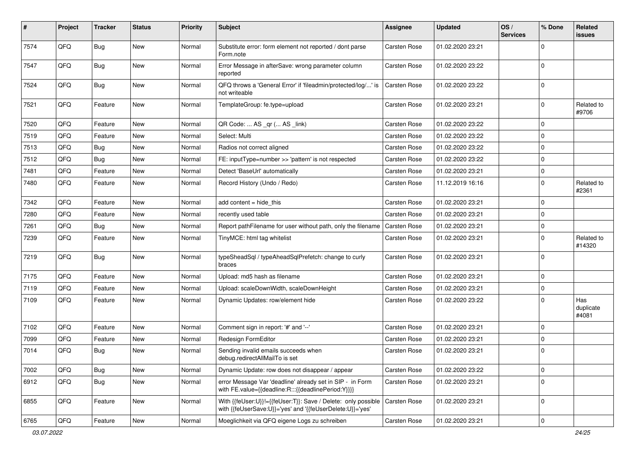| #    | Project | <b>Tracker</b> | <b>Status</b> | <b>Priority</b> | Subject                                                                                                                    | <b>Assignee</b>     | <b>Updated</b>   | OS/<br><b>Services</b> | % Done      | Related<br>issues         |
|------|---------|----------------|---------------|-----------------|----------------------------------------------------------------------------------------------------------------------------|---------------------|------------------|------------------------|-------------|---------------------------|
| 7574 | QFQ     | Bug            | <b>New</b>    | Normal          | Substitute error: form element not reported / dont parse<br>Form.note                                                      | <b>Carsten Rose</b> | 01.02.2020 23:21 |                        | $\Omega$    |                           |
| 7547 | QFQ     | Bug            | <b>New</b>    | Normal          | Error Message in afterSave: wrong parameter column<br>reported                                                             | <b>Carsten Rose</b> | 01.02.2020 23:22 |                        | $\Omega$    |                           |
| 7524 | QFQ     | Bug            | New           | Normal          | QFQ throws a 'General Error' if 'fileadmin/protected/log/' is<br>not writeable                                             | <b>Carsten Rose</b> | 01.02.2020 23:22 |                        | $\Omega$    |                           |
| 7521 | QFQ     | Feature        | New           | Normal          | TemplateGroup: fe.type=upload                                                                                              | <b>Carsten Rose</b> | 01.02.2020 23:21 |                        | 0           | Related to<br>#9706       |
| 7520 | QFQ     | Feature        | <b>New</b>    | Normal          | QR Code:  AS _qr ( AS _link)                                                                                               | <b>Carsten Rose</b> | 01.02.2020 23:22 |                        | $\Omega$    |                           |
| 7519 | QFQ     | Feature        | New           | Normal          | Select: Multi                                                                                                              | <b>Carsten Rose</b> | 01.02.2020 23:22 |                        | $\mathbf 0$ |                           |
| 7513 | QFQ     | Bug            | <b>New</b>    | Normal          | Radios not correct aligned                                                                                                 | <b>Carsten Rose</b> | 01.02.2020 23:22 |                        | 0           |                           |
| 7512 | QFQ     | Bug            | <b>New</b>    | Normal          | FE: inputType=number >> 'pattern' is not respected                                                                         | <b>Carsten Rose</b> | 01.02.2020 23:22 |                        | 0           |                           |
| 7481 | QFQ     | Feature        | <b>New</b>    | Normal          | Detect 'BaseUrl' automatically                                                                                             | <b>Carsten Rose</b> | 01.02.2020 23:21 |                        | 0           |                           |
| 7480 | QFQ     | Feature        | <b>New</b>    | Normal          | Record History (Undo / Redo)                                                                                               | Carsten Rose        | 11.12.2019 16:16 |                        | $\Omega$    | Related to<br>#2361       |
| 7342 | QFQ     | Feature        | New           | Normal          | add content $=$ hide this                                                                                                  | <b>Carsten Rose</b> | 01.02.2020 23:21 |                        | $\Omega$    |                           |
| 7280 | QFQ     | Feature        | <b>New</b>    | Normal          | recently used table                                                                                                        | <b>Carsten Rose</b> | 01.02.2020 23:21 |                        | $\Omega$    |                           |
| 7261 | QFQ     | Bug            | <b>New</b>    | Normal          | Report pathFilename for user without path, only the filename                                                               | <b>Carsten Rose</b> | 01.02.2020 23:21 |                        | $\mathbf 0$ |                           |
| 7239 | QFQ     | Feature        | <b>New</b>    | Normal          | TinyMCE: html tag whitelist                                                                                                | <b>Carsten Rose</b> | 01.02.2020 23:21 |                        | $\mathbf 0$ | Related to<br>#14320      |
| 7219 | QFG     | Bug            | <b>New</b>    | Normal          | typeSheadSql / typeAheadSqlPrefetch: change to curly<br>braces                                                             | <b>Carsten Rose</b> | 01.02.2020 23:21 |                        | $\Omega$    |                           |
| 7175 | QFQ     | Feature        | <b>New</b>    | Normal          | Upload: md5 hash as filename                                                                                               | <b>Carsten Rose</b> | 01.02.2020 23:21 |                        | $\mathbf 0$ |                           |
| 7119 | QFQ     | Feature        | <b>New</b>    | Normal          | Upload: scaleDownWidth, scaleDownHeight                                                                                    | Carsten Rose        | 01.02.2020 23:21 |                        | 0           |                           |
| 7109 | QFQ     | Feature        | <b>New</b>    | Normal          | Dynamic Updates: row/element hide                                                                                          | <b>Carsten Rose</b> | 01.02.2020 23:22 |                        | $\Omega$    | Has<br>duplicate<br>#4081 |
| 7102 | QFQ     | Feature        | New           | Normal          | Comment sign in report: '#' and '--'                                                                                       | <b>Carsten Rose</b> | 01.02.2020 23:21 |                        | $\Omega$    |                           |
| 7099 | QFQ     | Feature        | New           | Normal          | Redesign FormEditor                                                                                                        | <b>Carsten Rose</b> | 01.02.2020 23:21 |                        | $\mathbf 0$ |                           |
| 7014 | QFQ     | Bug            | <b>New</b>    | Normal          | Sending invalid emails succeeds when<br>debug.redirectAllMailTo is set                                                     | Carsten Rose        | 01.02.2020 23:21 |                        | $\Omega$    |                           |
| 7002 | QFQ     | <b>Bug</b>     | New           | Normal          | Dynamic Update: row does not disappear / appear                                                                            | Carsten Rose        | 01.02.2020 23:22 |                        | $\mathbf 0$ |                           |
| 6912 | QFQ     | Bug            | New           | Normal          | error Message Var 'deadline' already set in SIP - in Form<br>with FE.value={{deadline:R:::{{deadlinePeriod:Y}}}}           | Carsten Rose        | 01.02.2020 23:21 |                        | 0           |                           |
| 6855 | QFQ     | Feature        | New           | Normal          | With {{feUser:U}}!={{feUser:T}}: Save / Delete: only possible<br>with {{feUserSave:U}}='yes' and '{{feUserDelete:U}}='yes' | Carsten Rose        | 01.02.2020 23:21 |                        | $\mathbf 0$ |                           |
| 6765 | QFG     | Feature        | New           | Normal          | Moeglichkeit via QFQ eigene Logs zu schreiben                                                                              | Carsten Rose        | 01.02.2020 23:21 |                        | 0           |                           |